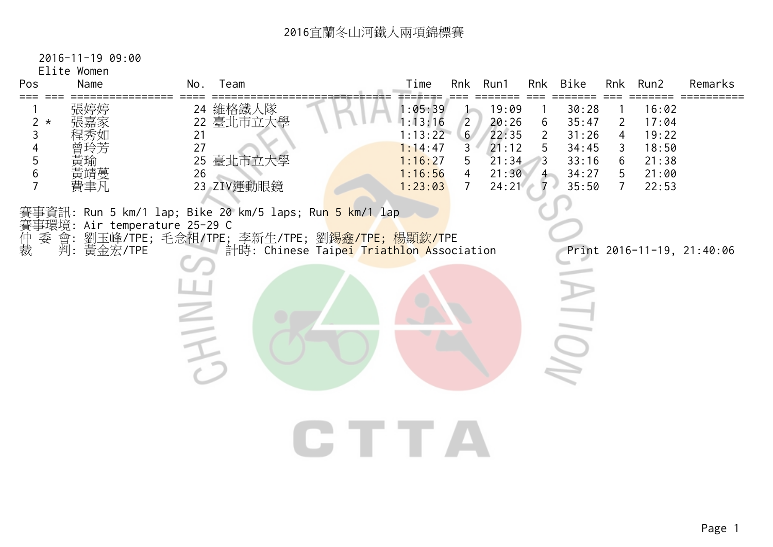Elite Women

| Pos                                      | Name                                        | No.                        | Team                                                                                                                                                                                    | Time                                                                      | Rnk                                                                            | Run1                                                        | Rnk                                             | Bike                                                        |                                                                   | Rnk Run2                                                    | Remarks                    |
|------------------------------------------|---------------------------------------------|----------------------------|-----------------------------------------------------------------------------------------------------------------------------------------------------------------------------------------|---------------------------------------------------------------------------|--------------------------------------------------------------------------------|-------------------------------------------------------------|-------------------------------------------------|-------------------------------------------------------------|-------------------------------------------------------------------|-------------------------------------------------------------|----------------------------|
| $\overline{2}$<br>$\star$<br>3<br>5<br>6 | 張婷婷<br>寅堬<br>黃靖蔓<br>費聿凡                     | 22<br>21<br>27<br>25<br>26 | 24 維格鐵人隊<br>臺北市立大學<br>臺北市立大學<br>23 ZIV運動眼鏡                                                                                                                                              | 1:05:39<br>1:13:16<br>1:13:22<br>1:14:47<br>1:16:27<br>1:16:56<br>1:23:03 | $\overline{2}$<br>6 <sup>7</sup><br>3<br>5<br>$\overline{4}$<br>$\overline{7}$ | 19:09<br>20:26<br>22:35<br>21:12<br>21:34<br>21:30<br>24:21 | 6<br>$\overline{2}$<br>5<br>3<br>$\overline{4}$ | 30:28<br>35:47<br>31:26<br>34:45<br>33:16<br>34:27<br>35:50 | $\overline{2}$<br>$\overline{4}$<br>3<br>6<br>5<br>$\overline{7}$ | 16:02<br>17:04<br>19:22<br>18:50<br>21:38<br>21:00<br>22:53 |                            |
| 賽事環境:<br>仲裁<br>委                         | Air temperature 25-29 C<br>會:<br>判: 黃金宏/TPE | $\overline{\phantom{a}}$   | 賽事資訊: Run 5 km/1 lap; Bike 20 km/5 laps; Ru <mark>n 5 km/1 lap</mark><br>劉玉峰/TPE; 毛念祖/TPE; 李新生/TPE; 劉 <mark>錫鑫/TPE; 楊顯欽/T</mark> PE<br>計時: Chinese Taipei Triathlon Association<br>CTTA |                                                                           |                                                                                |                                                             |                                                 |                                                             |                                                                   |                                                             | Print 2016-11-19, 21:40:06 |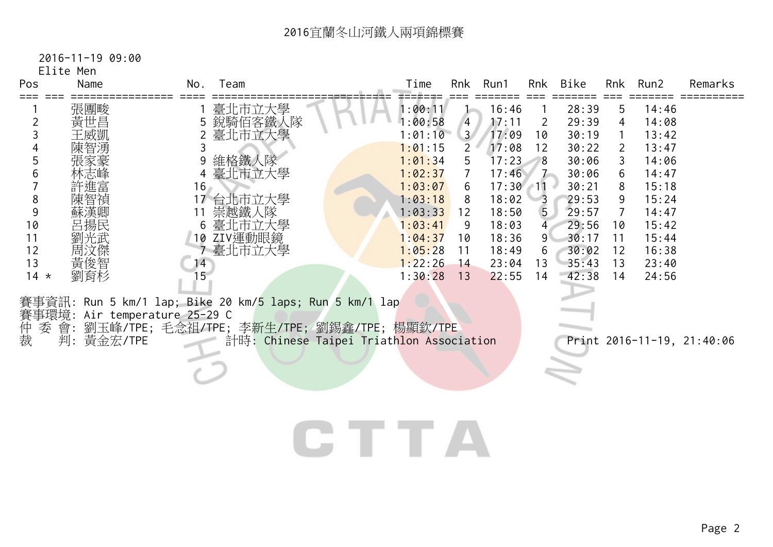Elite Men

| Pos  | Name | No.<br>Team   | Time    | Rnk            | Run1  | Rnk            | Bike  | Rnk | Run2  | Remarks |
|------|------|---------------|---------|----------------|-------|----------------|-------|-----|-------|---------|
|      | 張團畯  | 臺北市立大學        | 1:00:11 |                | 16:46 |                | 28:39 | 5   | 14:46 |         |
|      | 黃世昌  | 銳騎佰客鐵人隊       | 1:00:58 | 4              | 17:11 | 2              | 29:39 | 4   | 14:08 |         |
|      | 王威凱  | 2 臺北市立大學      | 1:01:10 | 3 <sup>7</sup> | 17:09 | 10             | 30:19 |     | 13:42 |         |
|      | 陳智湧  |               | 1:01:15 |                | 17:08 | 12             | 30:22 | 2   | 13:47 |         |
|      | 張家豪  | 維格鐵人隊         | 1:01:34 | 5.             | 17:23 | 8              | 30:06 | 3.  | 14:06 |         |
|      | 林志峰  | 臺北市立大學        | 1:02:37 |                | 17:46 |                | 30:06 | 6.  | 14:47 |         |
|      | 許進富  | 16            | 1:03:07 | 6              | 17:30 | -11            | 30:21 | 8   | 15:18 |         |
|      | 陳智禎  | 台北市立大學        | 1:03:18 | 8              | 18:02 | $\overline{3}$ | 29:53 | 9   | 15:24 |         |
|      | 蘇漢卿  | 崇越鐵人隊         | 1:03:33 | 12             | 18:50 | $\overline{5}$ | 29:57 |     | 14:47 |         |
| 10   | 呂揚民  | 臺北市立大學<br>6.  | 1:03:41 | 9              | 18:03 | 4              | 29:56 | 10  | 15:42 |         |
|      | 劉光武  | ZIV運動眼鏡<br>10 | 1:04:37 | 10             | 18:36 | 9              | 30:17 | 11  | 15:44 |         |
| 12   | 周汶傑  | 臺北市立大學        | 1:05:28 | 11             | 18:49 | 6              | 30:02 | 12  | 16:38 |         |
| 13   | 黃俊智  | 14            | 1:22:26 | 14             | 23:04 | 13             | 35:43 | 13  | 23:40 |         |
| 14 * | 劉育杉  | 15            | 1:30:28 | 13             | 22:55 | 14             | 42:38 | 14  | 24:56 |         |

賽事環境: Air temperature 25-29 C

仲 委 會: 劉玉峰/TPE; 毛念祖/TPE; 李新生/TPE; 劉錫鑫/TPE; 楊顯欽/TPE 裁 判: 黃金宏/TPE 計時: Chinese Taipei Triathlon Association Print 2016-11-19, 21:40:06

## **CTTA**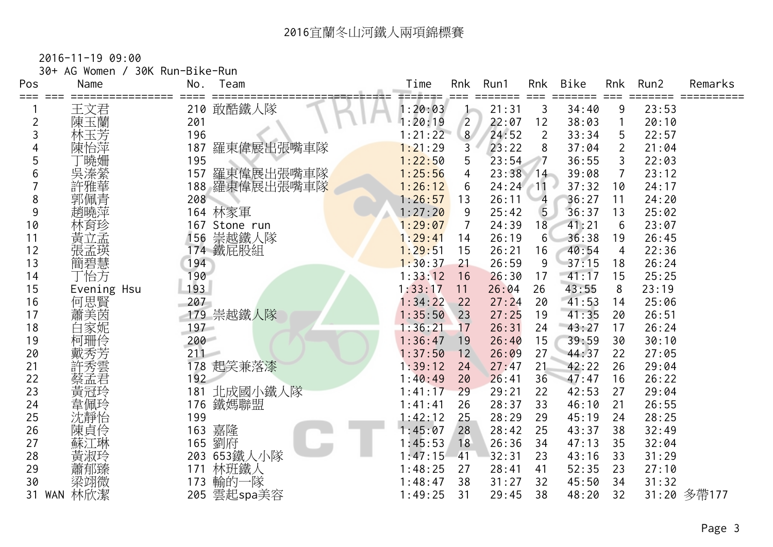| 30+ AG Women / 30K Run-Bike-Run |
|---------------------------------|
|                                 |

| Pos                 | Name        | No.        | Team                   | Time               | Rnk            | Run1       | Rnk            | <b>Bike</b> | Rnk            | Run2  | Remarks     |
|---------------------|-------------|------------|------------------------|--------------------|----------------|------------|----------------|-------------|----------------|-------|-------------|
| ===                 |             |            | 210 敢酷鐵人隊              | 1:20:03            | $==$           | 21:31      | 3              | 34:40       | 9              | 23:53 |             |
|                     | 王文君         |            |                        |                    | $\overline{2}$ | 22:07      | 12             | 38:03       |                | 20:10 |             |
| $\overline{2}$<br>3 | 陳玉蘭<br>林玉芳  | 201<br>196 |                        | 1:20:19<br>1:21:22 | 8 <sup>1</sup> | 24:52      | $\overline{2}$ | 33:34       | 5              | 22:57 |             |
|                     | 陳怡萍         | 187        | 羅東偉展出張嘴車隊              | 1:21:29            | 3              | 23:22      | 8              | 37:04       | $\overline{2}$ | 21:04 |             |
| 5                   |             | 195        |                        | 1:22:50            | 5              | 23:54      | $7^{\circ}$    | 36:55       | 3              | 22:03 |             |
| 6                   | 「曉姍<br>吳溱縈  | 157        |                        | 1:25:56            | 4              | $23:38$ 14 |                | 39:08       | $\overline{7}$ | 23:12 |             |
|                     | 許雅華         | 188        | 羅東偉展出張嘴車隊<br>羅東偉展出張嘴車隊 | 1:26:12            | 6              | 24:24      | $-11$          | 37:32       | 10             | 24:17 |             |
| 8                   | 郭佩青         | 208        |                        | 1:26:57            | 13             | 26:11      | $\overline{4}$ | 36:27       | 11             | 24:20 |             |
| 9                   | 趙曉萍         |            | 164 林家軍                | 1:27:20            | 9              | 25:42      | 5              | 36:37       | 13             | 25:02 |             |
| 10                  | 林育珍         |            | 167 Stone run          | 1:29:07            | $\overline{7}$ | 24:39      | 18             | 41:21       | 6              | 23:07 |             |
| 11                  | 黃立孟         | 156        | 崇越鐵人隊                  | 1:29:41            | 14             | 26:19      | $6^{\circ}$    | 36:38       | 19             | 26:45 |             |
| 12                  |             | 174        | 鐵屁股組                   | 1:29:51            | 15             | 26:21      | 16             | 40:54       | 4              | 22:36 |             |
| 13                  | 簡碧慧         | 194        |                        | 1:30:37            | 21             | 26:59      | 9              | 37:15       | 18             | 26:24 |             |
| 14                  | 丁怡方         | 190        |                        | 1:33:12            | 16             | 26:30      | 17             | 41:17       | 15             | 25:25 |             |
| 15                  | Evening Hsu | 193        |                        | 1:33:17            | 11             | 26:04      | 26             | 43:55       | 8              | 23:19 |             |
| 16                  |             | 207        |                        | 1:34:22            | 22             | 27:24      | 20             | 41:53       | 14             | 25:06 |             |
| 17                  | 何思賢         |            | 179 崇越鐵人隊              | 1:35:50            | 23             | 27:25      | 19             | 41:35       | 20             | 26:51 |             |
| 18                  | 白家妮         | $197 -$    |                        | 1:36:21            | 17             | 26:31      | 24             | 43:27       | 17             | 26:24 |             |
| 19                  | 柯珊伶         | 200        |                        | 1:36:47            | 19             | 26:40      | 15             | 39:59       | 30             | 30:10 |             |
| 20                  |             | 211        |                        | 1:37:50            | 12             | 26:09      | 27             | 44:37       | 22             | 27:05 |             |
| 21                  | 許秀雲         | 178        | 起笑兼落漆                  | 1:39:12            | 24             | 27:47      | 21             | 42:22       | 26             | 29:04 |             |
| 22                  | 蔡孟君         | 192        |                        | 1:40:49            | 20             | 26:41      | 36             | 47:47       | 16             | 26:22 |             |
| 23                  | 黃冠玲         | 181        | 北成國小鐵人隊                | 1:41:17            | 29             | 29:21      | 22             | 42:53       | 27             | 29:04 |             |
| 24                  | 韋佩玲         | 176        | 鐵媽聯盟                   | 1:41:41            | 26             | 28:37      | 33             | 46:10       | 21             | 26:55 |             |
| 25                  | 沈靜怡         | 199        |                        | 1:42:12            | 25             | 28:29      | 29             | 45:19       | 24             | 28:25 |             |
| 26                  | 陳貞伶         | 163        | 嘉隆                     | 1:45:07            | 28             | 28:42      | 25             | 43:37       | 38             | 32:49 |             |
| 27                  | 蘇江琳         | 165        | 劉府                     | 1:45:53            | 18             | 26:36      | 34             | 47:13       | 35             | 32:04 |             |
| 28                  | 黃淑玲         |            | 203 653鐵人小隊            | 1:47:15            | 41             | 32:31      | 23             | 43:16       | 33             | 31:29 |             |
| 29                  | 蕭郁臻         | 171        | 林班鐵人                   | 1:48:25            | 27             | 28:41      | 41             | 52:35       | 23             | 27:10 |             |
| 30                  | 梁翊微         | 173        | 輸的一隊                   | 1:48:47            | 38             | 31:27      | 32             | 45:50       | 34             | 31:32 |             |
| 31                  | 林欣潔<br>WAN  | 205        | 雲起spa美容                | 1:49:25            | 31             | 29:45      | 38             | 48:20       | 32             |       | 31:20 多帶177 |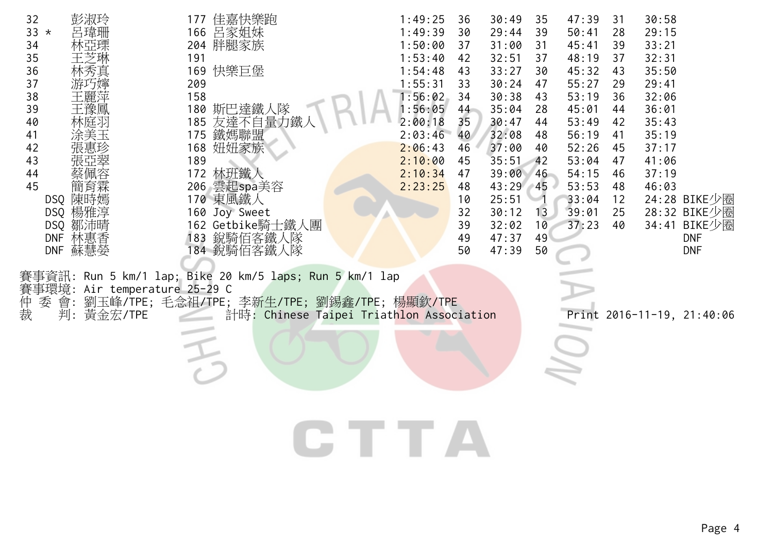| 彭淑玲<br>32<br>33 $*$<br>呂瑋珊<br>34<br>35<br>36<br>林秀真<br>37<br>丂嬣<br>38<br>王麗萍<br>39<br>干豫鳳<br>40<br>林庭斗<br>41<br>涂美玉<br>42<br>43<br>44<br>45<br>間自霖<br>DSQ 陳時嫣<br>DSQ 楊雅淳<br>DSQ 鄒沛晴<br>林惠香<br>DNF | 佳嘉快樂跑<br>177<br>呂家姐妹<br>166<br>204 胖腿家族<br>191<br>169 快樂巨堡<br>209<br>158<br>180<br>斯巴達鐵人隊<br>185 友達不自量力鐵<br>185 友達不自量力鐵<br>168 妞妞家族<br>189<br>172 林班鐵人<br>206 雲起spa美容<br>170 東風鐵人<br>160 Joy Sweet<br>162 Getbike騎士鐵人團<br>183 銳騎佰客鐵人隊 | 1:49:25<br>36<br>1:49:39<br>30<br>1:50:00<br>37<br>1:53:40<br>42<br>1:54:48<br>43<br>1:55:31<br>33<br>1:56:02<br>34<br>1:56:05<br>44<br>35<br>2:00:18<br>2:03:46<br>40<br>2:06:43<br>46<br>2:10:00<br>45<br>2:10:34<br>47<br>2:23:25<br>48<br>10<br>32<br>39<br>49 | 30:49<br>35<br>29:44<br>39<br>31:00<br>31<br>32:51<br>37<br>33:27<br>30<br>30:24<br>47<br>30:38<br>43<br>35:04<br>28<br>30:47<br>44<br>32:08<br>48<br>37:00<br>40<br>35:51<br>42<br>39:00<br>46<br>43:29<br>-45<br>25:51<br>30:12<br>13<br>32:02<br>10<br>47:37<br>49 | 47:39<br>31<br>50:41<br>28<br>45:41<br>39<br>48:19<br>37<br>45:32<br>43<br>55:27<br>29<br>53:19<br>36<br>45:01<br>44<br>53:49<br>42<br>56:19<br>41<br>52:26<br>45<br>53:04<br>47<br>54:15<br>46<br>53:53<br>48<br>33:04<br>12<br>39:01<br>25<br>37:23<br>40 | 30:58<br>29:15<br>33:21<br>32:31<br>35:50<br>29:41<br>32:06<br>36:01<br>35:43<br>35:19<br>37:17<br>41:06<br>37:19<br>46:03<br>24:28 BIKE少圈<br>28:32 BIKE少圈<br>34:41 BIKE少圈<br><b>DNF</b> |
|---------------------------------------------------------------------------------------------------------------------------------------------------------------------------------------------------|---------------------------------------------------------------------------------------------------------------------------------------------------------------------------------------------------------------------------------------|--------------------------------------------------------------------------------------------------------------------------------------------------------------------------------------------------------------------------------------------------------------------|-----------------------------------------------------------------------------------------------------------------------------------------------------------------------------------------------------------------------------------------------------------------------|-------------------------------------------------------------------------------------------------------------------------------------------------------------------------------------------------------------------------------------------------------------|------------------------------------------------------------------------------------------------------------------------------------------------------------------------------------------|
| DNF 蘇慧嫈<br>賽事環境: Air temperature 25-29 C<br>委                                                                                                                                                     | 184 銳騎佰客鐵人隊<br>事資訊: Run 5 km/1 lap; Bike 20 km/5 laps; Run 5 km/1 lap<br>劉玉峰/TPE;毛念祖/TPE;李新生/TPE;劉錫鑫/TPE;楊顯欽/TPE                                                                                                                      | 50                                                                                                                                                                                                                                                                 | 47:39<br>50                                                                                                                                                                                                                                                           |                                                                                                                                                                                                                                                             | <b>DNF</b>                                                                                                                                                                               |
| 仲裁<br>會:<br>黃金宏/TPE<br>判:                                                                                                                                                                         | 計時: Chinese Taipei Triathlon Association                                                                                                                                                                                              |                                                                                                                                                                                                                                                                    |                                                                                                                                                                                                                                                                       |                                                                                                                                                                                                                                                             | Print 2016-11-19, 21:40:06                                                                                                                                                               |
|                                                                                                                                                                                                   |                                                                                                                                                                                                                                       | CTTA                                                                                                                                                                                                                                                               |                                                                                                                                                                                                                                                                       |                                                                                                                                                                                                                                                             |                                                                                                                                                                                          |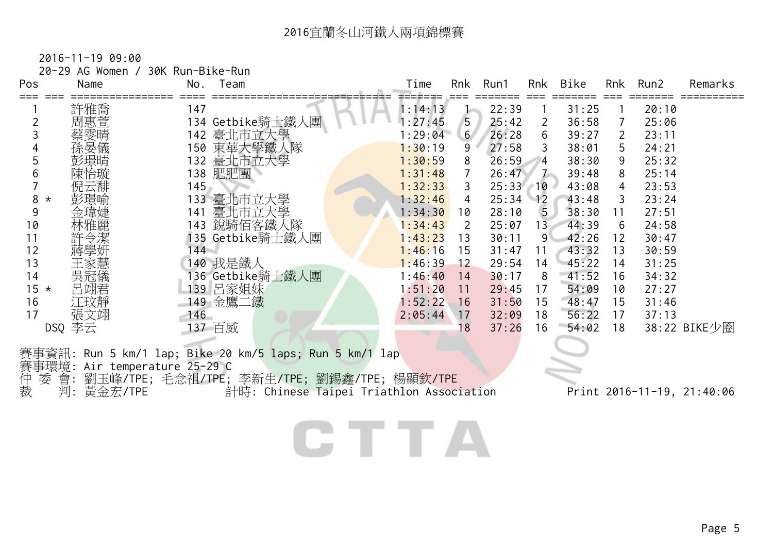| Pos           | 20-29 AG Women /<br>Name | 30K Run-Bike-Run<br>No.<br>Team | Time    | Rnk            | Run1  | Rnk             | Bike  | Rnk | Run2  | Remarks      |
|---------------|--------------------------|---------------------------------|---------|----------------|-------|-----------------|-------|-----|-------|--------------|
|               | 許雅喬                      | 147                             | 1:14:13 |                | 22:39 |                 | 31:25 |     | 20:10 |              |
|               | 周惠萱                      | 134 Getbike騎士鐵人團                | :27:45  | 5              | 25:42 | 2               | 36:58 |     | 25:06 |              |
|               |                          | 臺北市立大學<br>142                   | 1:29:04 | 6 <sup>1</sup> | 26:28 | 6               | 39:27 | 2   | 23:11 |              |
|               |                          | 東華大學鐵人隊<br>150                  | 1:30:19 | 9              | 27:58 | 3               | 38:01 | 5.  | 24:21 |              |
|               |                          | 臺北市立大學<br>132                   | 1:30:59 | 8              | 26:59 | 4               | 38:30 | 9   | 25:32 |              |
|               | 陳怡璇                      | 肥肥團<br>138                      | 1:31:48 |                | 26:47 | $\sim$ 7        | 39:48 | 8   | 25:14 |              |
|               | 倪云馡                      | 145                             | 1:32:33 | 3              | 25:33 | $-10$           | 43:08 | 4   | 23:53 |              |
| 8<br>$^\star$ | 彭璟喻                      | 臺北市立大學<br>133                   | 1:32:46 | 4              | 25:34 | 12              | 43:48 | 3   | 23:24 |              |
| 9             |                          | 臺北市立大學<br>141                   | 1:34:30 | 10             | 28:10 | 5 <sub>2</sub>  | 38:30 | 11  | 27:51 |              |
| 10            |                          | 銳騎佰客鐵人隊<br>143                  | 1:34:43 | 2              | 25:07 | 13 <sub>1</sub> | 44:39 | 6   | 24:58 |              |
| 11            | 令潔                       | 135 Getbike騎士鐵人團                | 1:43:23 | 13             | 30:11 | 9               | 42:26 | 12  | 30:47 |              |
| 12            |                          | 44                              | 1:46:16 | 15             | 31:47 | 11              | 43:32 | 13  | 30:59 |              |
| 13            |                          | 140 我是鐵人                        | 1:46:39 | 12             | 29:54 | 14              | 45:22 | 14  | 31:25 |              |
| 14            | 吳冠儀                      | 136 Getbike騎士鐵人團                | 1:46:40 | 14             | 30:17 | 8               | 41:52 | 16  | 34:32 |              |
| $15 *$        | 呂翊君                      | 139 呂家姐妹                        | 1:51:20 | 11             | 29:45 | 17              | 54:09 | 10  | 27:27 |              |
| 16            | 江玟靜                      | 149 金鷹二鐵                        | 1:52:22 | 16             | 31:50 | 15              | 48:47 | 15  | 31:46 |              |
| 17            | 張文翊                      | 146                             | 2:05:44 | 17             | 32:09 | 18              | 56:22 | 17  | 37:13 |              |
| DSQ           | 李云                       | 百威<br>137                       |         | 8              | 37:26 | 16              | 54:02 | 18  |       | 38:22 BIKE少圈 |
|               |                          |                                 |         |                |       |                 |       |     |       |              |

賽事資訊: Run 5 km/1 lap; Bike 20 km/5 laps; Run 5 km/1 lap

賽事環境: Air temperature 25-29 C

仲 委 會: 劉玉峰/TPE; 毛念祖/TPE; 李新生/TPE; 劉錫鑫/TPE; 楊顯欽/TPE

裁 判: 黃金宏/TPE 計時: Chinese Taipei Triathlon Association Print 2016-11-19, 21:40:06

CTTA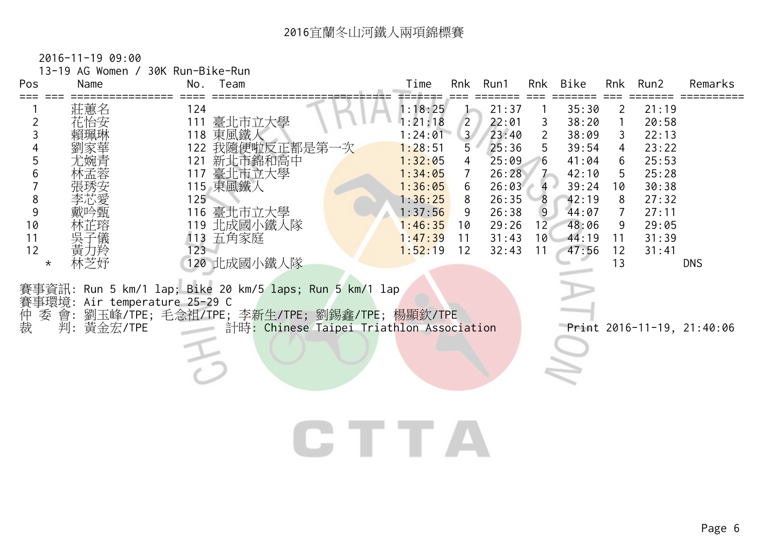| Name<br>Pos                                                                                                                                                                         | 13-19 AG Women / 30K Run-Bike-Run<br>No. Team                                                                                                                                                                                                                                                                                 | Time<br>Run1<br>Rnk<br>Bike<br>Rnk Run2<br>Rnk<br>Remarks                                                                                                                                                                                                                                                                                                                                                                                                                                                                                                                                                                                                                                                                                                                                                                      |
|-------------------------------------------------------------------------------------------------------------------------------------------------------------------------------------|-------------------------------------------------------------------------------------------------------------------------------------------------------------------------------------------------------------------------------------------------------------------------------------------------------------------------------|--------------------------------------------------------------------------------------------------------------------------------------------------------------------------------------------------------------------------------------------------------------------------------------------------------------------------------------------------------------------------------------------------------------------------------------------------------------------------------------------------------------------------------------------------------------------------------------------------------------------------------------------------------------------------------------------------------------------------------------------------------------------------------------------------------------------------------|
| $==$<br>莊薫名<br>$\overline{2}$<br>3<br>4<br>5<br>6<br>8<br>$\overline{9}$<br>10<br>11<br>黃力羚<br>12<br>林芝妤<br>$\star$<br>賽事環境: Air temperature 25-29 C<br>仲裁<br>會:<br>委<br>判: 黃金宏/TPE | 124<br>111<br>臺北市立大學<br>118 東風鐵人<br>122 我隨便啦反正都是第一<br>新北市錦和高中<br>121<br>117 臺北市立大學<br>115 東風鐵人<br>125<br>116 臺北市立大學<br>119 北成國小鐵人隊<br>113 五角家庭<br>$123 -$<br>120 北成國小鐵人隊<br>事資訊: Run 5 km/1 lap; Bike 20 km/5 laps; Run 5 km/1 lap<br>劉玉峰/TPE; 毛念祖/TPE; 李新生/TPE; 劉錫鑫/TPE; 楊顯欽/TPE<br>計時: Chinese Taipei Triathlon Association | 1:18:25<br>21:37<br>35:30<br>21:19<br>2<br>1:21:18<br>22:01<br>$\overline{2}$<br>38:20<br>20:58<br>3<br>3 <sup>7</sup><br>23:40<br>1:24:01<br>$\overline{2}$<br>38:09<br>22:13<br>3<br>1:28:51<br>5<br>25:36<br>5<br>39:54<br>23:22<br>4<br>25:53<br>25:09<br>41:04<br>1:32:05<br>$6\phantom{.}6$<br>6<br>4<br>$7 -$<br>25:28<br>1:34:05<br>26:28<br>42:10<br>5<br>$\overline{7}$<br>39:24<br>30:38<br>1:36:05<br>26:03<br>10<br>6<br>$\overline{4}$<br>1:36:25<br>26:35<br>27:32<br>8<br>42:19<br>8<br>8<br>$\overline{9}$<br>1:37:56<br>26:38<br>44:07<br>$\overline{7}$<br>27:11<br>9<br>29:05<br>1:46:35<br>29:26<br>48:06<br>12<br>9<br>10<br>1:47:39<br>31:43<br>10 <sup>1</sup><br>44:19<br>31:39<br>11<br>11<br>1:52:19<br>12<br>32:43<br>11<br>47:56<br>12<br>31:41<br>13<br><b>DNS</b><br>Print 2016-11-19, 21:40:06 |
|                                                                                                                                                                                     |                                                                                                                                                                                                                                                                                                                               |                                                                                                                                                                                                                                                                                                                                                                                                                                                                                                                                                                                                                                                                                                                                                                                                                                |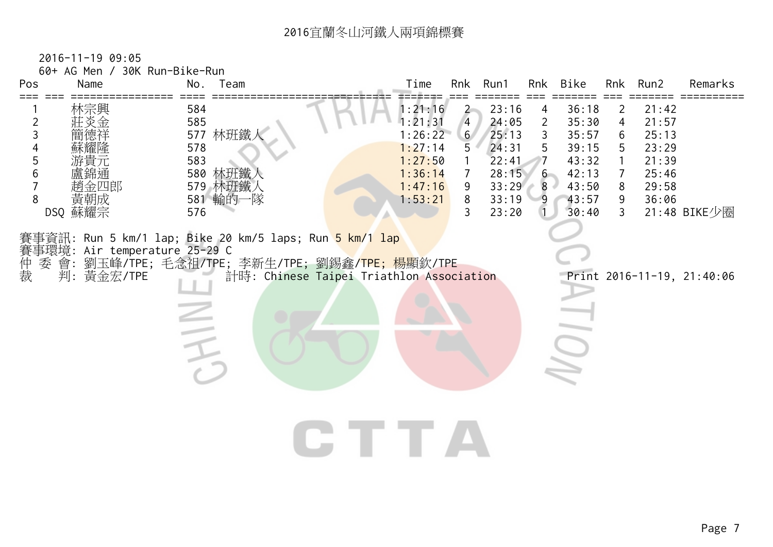| Pos<br>$==$                             | 60+ AG Men / 30K Run-Bike-Run<br>Name       | No.                                                                      | Team                                                                                                      | Time  |                                                                                      |                                                                                     | Rnk Run1                                                             | Rnk                                                                    | Bike                                                                 |                                 | Rnk Run2                                                             | Remarks                    |
|-----------------------------------------|---------------------------------------------|--------------------------------------------------------------------------|-----------------------------------------------------------------------------------------------------------|-------|--------------------------------------------------------------------------------------|-------------------------------------------------------------------------------------|----------------------------------------------------------------------|------------------------------------------------------------------------|----------------------------------------------------------------------|---------------------------------|----------------------------------------------------------------------|----------------------------|
| $\overline{2}$<br>3<br>4<br>5<br>6<br>8 | 林宗興<br>薫錦通<br>趙金四郎<br>黃朝成                   | 584<br>585<br>577 林班鐵ノ<br>578<br>583<br>580 林班鐵人<br>579 林班鐵人<br>581 輸的一隊 |                                                                                                           |       | 1:21:16<br>1:21:31<br>1:26:22<br>1:27:14<br>1:27:50<br>1:36:14<br>1:47:16<br>1:53:21 | $\overline{2}$<br>$\overline{4}$<br>6 <sup>7</sup><br>5<br>$\overline{7}$<br>9<br>8 | 23:16<br>24:05<br>25:13<br>24:31<br>22:41<br>28:15<br>33:29<br>33:19 | 4<br>2<br>$\mathfrak{Z}$<br>5<br>$\overline{7}$<br>$6 -$<br>$8 -$<br>9 | 36:18<br>35:30<br>35:57<br>39:15<br>43:32<br>42:13<br>43:50<br>43:57 | 2<br>4<br>6<br>5<br>7<br>8<br>9 | 21:42<br>21:57<br>25:13<br>23:29<br>21:39<br>25:46<br>29:58<br>36:06 |                            |
|                                         | DSQ 蘇耀宗                                     | 576                                                                      | 賽事資訊: Run 5 km/1 lap; Bike 20 km/5 laps; Run <mark>5 km/1 lap</mark>                                      |       |                                                                                      | 3                                                                                   | 23:20                                                                |                                                                        | 30:40                                                                | $\mathbf{3}$                    |                                                                      | 21:48 BIKE少圈               |
| 仲裁<br>委                                 | 賽事環境: Air temperature 25-29 C<br>判: 黃金宏/TPE | E                                                                        | 會: 劉玉峰/TPE; 毛念祖/TPE; 李新生/TPE; 劉錫鑫/ <mark>TPE; 楊</mark> 顯欽/TPE<br>計時: Chinese Taipei Triathlon Association |       |                                                                                      |                                                                                     |                                                                      |                                                                        |                                                                      |                                 |                                                                      | Print 2016-11-19, 21:40:06 |
|                                         |                                             |                                                                          |                                                                                                           | CHITA |                                                                                      |                                                                                     |                                                                      |                                                                        |                                                                      |                                 |                                                                      |                            |
|                                         |                                             |                                                                          |                                                                                                           |       |                                                                                      |                                                                                     |                                                                      |                                                                        |                                                                      |                                 |                                                                      |                            |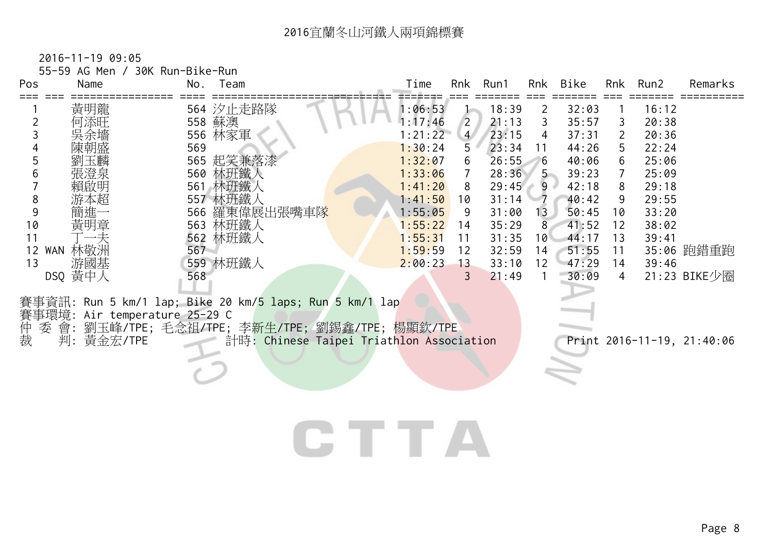| Pos<br>Name                   | No. Team                                                | Time    | Rnk            | Run1  | Rnk             | Bike  |    | Rnk Run2 | Remarks      |
|-------------------------------|---------------------------------------------------------|---------|----------------|-------|-----------------|-------|----|----------|--------------|
| 黃明龍                           | 564 汐止走路隊                                               | 1:06:53 |                | 18:39 | 2               | 32:03 |    | 16:12    |              |
| 何添旺                           | 558 蘇澳                                                  | 1:17:46 | $\overline{2}$ | 21:13 | 3               | 35:57 | 3  | 20:38    |              |
| 吳余墻                           | 556 林家軍                                                 | 1:21:22 | $\overline{4}$ | 23:15 | 4               | 37:31 | 2  | 20:36    |              |
| 陳朝盛                           | 569                                                     | 1:30:24 | 5              | 23:34 | 11              | 44:26 | 5  | 22:24    |              |
| 劉玉麟                           | 565 起笑兼落漆                                               | 1:32:07 | 6              | 26:55 | 6               | 40:06 | 6  | 25:06    |              |
| 張澄泉                           | 560 林班鐵人                                                | 1:33:06 |                | 28:36 | $5 -$           | 39:23 | 7  | 25:09    |              |
| 賴啟明                           | 561 林班鐵人                                                | 1:41:20 | 8              | 29:45 | $-9$            | 42:18 | 8  | 29:18    |              |
| 游本超<br>8                      | 557 林班鐵人                                                | 1:41:50 | 10             | 31:14 |                 | 40:42 | 9  | 29:55    |              |
| 簡進                            | 566 羅東偉展出張嘴車隊                                           | 1:55:05 | 9              | 31:00 | 13 <sub>1</sub> | 50:45 | 10 | 33:20    |              |
| 黃明章<br>10                     | 563 林班鐵人                                                | 1:55:22 | 14             | 35:29 | 8.              | 41:52 | 12 | 38:02    |              |
| 一夫                            | 562 林班鐵人                                                | 1:55:31 | 11             | 31:35 | 10 <sup>1</sup> | 44:17 | 13 | 39:41    |              |
| 林敬洲<br>12 WAN                 | 567                                                     | 1:59:59 | 12             | 32:59 | 14              | 51:55 | 11 |          | 35:06 跑錯重跑   |
| 游國基<br>13                     | 559 林班鐵人                                                | 2:00:23 | 13             | 33:10 | 12 <sup>2</sup> | 47:29 | 14 | 39:46    |              |
| DSQ 黄中人                       | 568                                                     |         |                | 21:49 |                 | 30:09 | 4  |          | 21:23 BIKE少圈 |
|                               |                                                         |         |                |       |                 |       |    |          |              |
| 賽事環境: Air temperature 25-29 C | 賽事資訊: Run 5 km/1 lap; Bike 20 km/5 laps; Run 5 km/1 lap |         |                |       |                 |       |    |          |              |

出<br>裁 委 會: 劉玉峰/TPE; 毛念祖/TPE; 李新生/TPE; 劉錫鑫/TPE; 楊顯欽/TPE 裁 判: 黃金宏/TPE 計時: Chinese Taipei Triathlon Association Print 2016-11-19, 21:40:06

## CTTA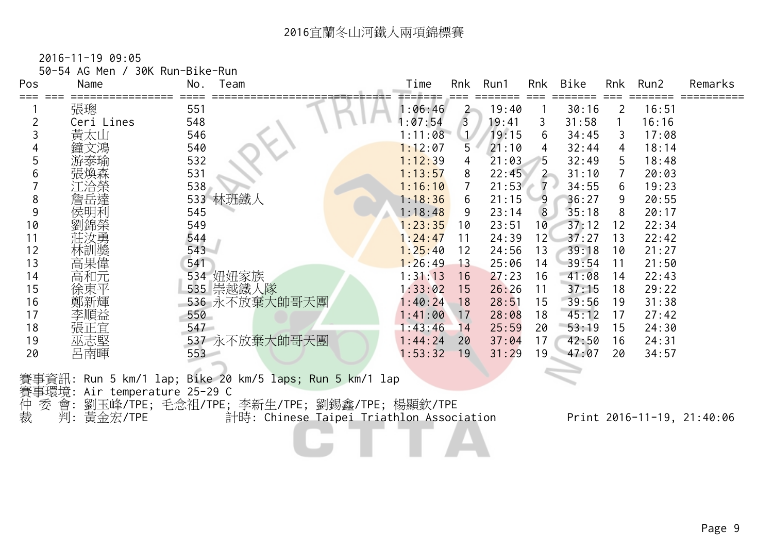50-54 AG Men / 30K Run-Bike-Run

| Pos | Name       | Team<br>No.                                             | Time    | Rnk            | Run1  | Rnk             | Bike  |    | Rnk Run2 | Remarks |
|-----|------------|---------------------------------------------------------|---------|----------------|-------|-----------------|-------|----|----------|---------|
|     | 張璁         | 551                                                     | 1:06:46 | $\overline{2}$ | 19:40 |                 | 30:16 | 2  | 16:51    |         |
|     | Ceri Lines | 548                                                     | : 07:54 | $\overline{3}$ | 19:41 | 3               | 31:58 |    | 16:16    |         |
|     | 黃太山        | 546                                                     | 1:11:08 | $\mathcal{L}$  | 19:15 | 6               | 34:45 | 3  | 17:08    |         |
|     | 鐘文馮        | 540                                                     | 1:12:07 | 5              | 21:10 | 4               | 32:44 | 4  | 18:14    |         |
|     | 游泰瑜        | 532                                                     | 1:12:39 | 4              | 21:03 | 5               | 32:49 | 5  | 18:48    |         |
|     | 張煥森        | 531                                                     | 1:13:57 | 8              | 22:45 | $2 -$           | 31:10 |    | 20:03    |         |
|     | 江洽榮        | 538                                                     | 1:16:10 | 7              | 21:53 | $7 \cdot$       | 34:55 | 6  | 19:23    |         |
| 8   | 詹岳達        | 533 林班鐵人                                                | 1:18:36 | 6              | 21:15 | 9               | 36:27 | 9  | 20:55    |         |
| 9   | 侯明利        | 545                                                     | 1:18:48 | 9              | 23:14 | 8               | 35:18 | 8  | 20:17    |         |
| 10  | 劉錦榮        | 549                                                     | 1:23:35 | 10             | 23:51 | 10              | 37:12 | 12 | 22:34    |         |
| 11  | 莊汝勇        | 544                                                     | 1:24:47 | 11             | 24:39 | 12 <sup>1</sup> | 37:27 | 13 | 22:42    |         |
| 12  | 林訓獎        | 543                                                     | 1:25:40 | 12             | 24:56 | 13              | 39:18 | 10 | 21:27    |         |
| 13  | 高果偉        | 541                                                     | 1:26:49 | 13             | 25:06 | 14              | 39:54 | 11 | 21:50    |         |
| 14  | 高和元        | 534 妞妞家族                                                | 1:31:13 | 16             | 27:23 | 16              | 41:08 | 14 | 22:43    |         |
| 15  | 徐東平        | 535 崇越鐵人隊                                               | 1:33:02 | 15             | 26:26 | 11              | 37:15 | 18 | 29:22    |         |
| 16  |            | 536 永不放棄大帥哥天團                                           | 1:40:24 | 18             | 28:51 | 15              | 39:56 | 19 | 31:38    |         |
| 17  | 李順益        | 550                                                     | 1:41:00 | 17             | 28:08 | 18              | 45:12 | 17 | 27:42    |         |
| 18  | 張正宜        | 547                                                     | 1:43:46 | 14             | 25:59 | 20              | 53:19 | 15 | 24:30    |         |
| 19  | 巫志堅        | 537 永不放棄大帥哥天團                                           | 1:44:24 | 20             | 37:04 | 17              | 42:50 | 16 | 24:31    |         |
| 20  | 呂南暉        | 553                                                     | 1:53:32 | 19             | 31:29 | 19              | 47:07 | 20 | 34:57    |         |
|     |            | 賽事資訊: Run 5 km/1 lap; Bike 20 km/5 laps; Run 5 km/1 lap |         |                |       |                 |       |    |          |         |

賽事環境: Air temperature 25-29 C

仲 委 會: 劉玉峰/TPE; 毛念祖/TPE; 李新生/TPE; 劉錫鑫/TPE; 楊顯欽/TPE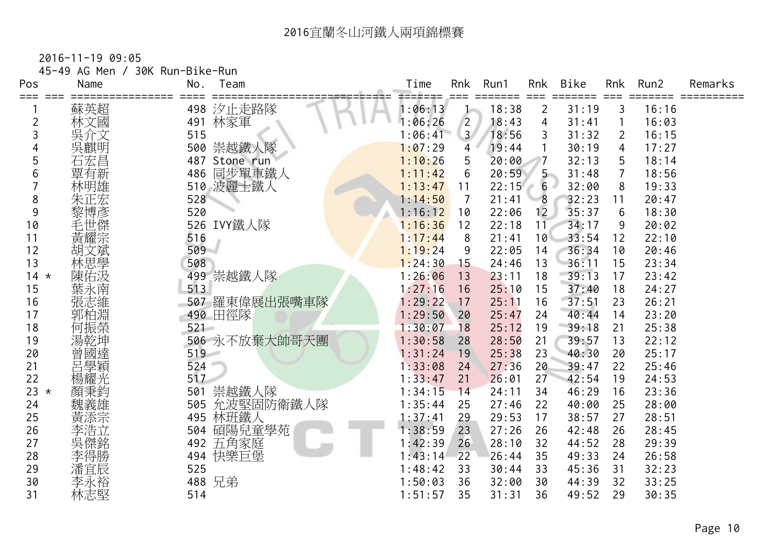| Pos<br>=== | 45-49 AG Men /<br>Name | 30K Run-Bike-Run<br>No. | Team          | Time    | Rnk            | Run1  | Rnk               | <b>Bike</b> | Rnk            | Run2  | Remarks |
|------------|------------------------|-------------------------|---------------|---------|----------------|-------|-------------------|-------------|----------------|-------|---------|
|            | 蘇英超                    | 498                     | 汐止走路隊         | 1:06:13 |                | 18:38 | $\overline{2}$    | 31:19       | 3              | 16:16 |         |
| 2          | 林文國                    | 491                     | 林家軍           | 1:06:26 | $\overline{2}$ | 18:43 | 4                 | 31:41       |                | 16:03 |         |
| 3          | 吳介文                    | 515                     |               | 1:06:41 | 3 <sup>7</sup> | 18:56 | 3                 | 31:32       | 2              | 16:15 |         |
|            | 吳麒明                    |                         | 500 崇越鐵人隊     | 1:07:29 | 4              | 19:44 |                   | 30:19       | 4              | 17:27 |         |
| 5          | 石宏昌                    |                         | 487 Stone run | 1:10:26 | 5              | 20:00 | 7                 | 32:13       | 5              | 18:14 |         |
| 6          | 覃有新                    | 486                     | 同步單車鐵人        | 1:11:42 | 6              | 20:59 | $5 -$             | 31:48       | $\overline{7}$ | 18:56 |         |
|            | 林明雄                    |                         | 510 波麗士鐵人     | 1:13:47 | 11             | 22:15 | $6 -$             | 32:00       | 8              | 19:33 |         |
| 8          | 朱正宏                    | 528                     |               | 1:14:50 | 7              | 21:41 | 8                 | 32:23       | 11             | 20:47 |         |
| 9          | 黎博彥                    | 520                     |               | 1:16:12 | 10             | 22:06 | $12 \overline{ }$ | 35:37       | 6              | 18:30 |         |
| 10         | 毛世傑宗                   |                         | 526 IVY鐵人隊    | 1:16:36 | 12             | 22:18 | 11                | 34:17       | 9              | 20:02 |         |
| 11         |                        | 516                     |               | 1:17:44 | 8              | 21:41 | 10                | 33:54       | 12             | 22:10 |         |
| 12         | 胡文斌                    | 509                     |               | 1:19:24 | 9              | 22:05 | 14                | 36:34       | 10             | 20:46 |         |
| 13         | 林思學                    | 508                     |               | 1:24:30 | 15             | 24:46 | 13                | 36:11       | 15             | 23:34 |         |
| $14 *$     | 陳佑汲                    |                         | 499 崇越鐵人隊     | 1:26:06 | 13             | 23:11 | 18                | 39:13       | 17             | 23:42 |         |
| 15         | 葉永南                    | 513                     |               | 1:27:16 | 16             | 25:10 | 15                | 37:40       | 18             | 24:27 |         |
| 16         | 張志維                    |                         | 507 羅東偉展出張嘴車隊 | 1:29:22 | 17             | 25:11 | 16                | 37:51       | 23             | 26:21 |         |
| 17         | 郭柏淵                    |                         | 490 田徑隊       | 1:29:50 | 20             | 25:47 | 24                | 40:44       | 14             | 23:20 |         |
| 18         | 何振榮                    | $521 -$                 |               | 1:30:07 | 18             | 25:12 | 19                | 39:18       | 21             | 25:38 |         |
| 19         | 湯乾坤                    |                         | 506 永不放棄大帥哥天團 | 1:30:58 | 28             | 28:50 | 21                | 39:57       | 13             | 22:12 |         |
| 20         | 曾國達                    | 519                     |               | 1:31:24 | 19             | 25:38 | 23                | 40:30       | 20             | 25:17 |         |
| 21         | 呂學穎                    | 524                     |               | 1:33:08 | 24             | 27:36 | 20                | 39:47       | 22             | 25:46 |         |
| 22         | 楊耀光                    | 517                     |               | 1:33:47 | 21             | 26:01 | 27                | 42:54       | 19             | 24:53 |         |
| 23 $\star$ | 顏秉鈞                    | 501                     | 崇越鐵人隊         | 1:34:15 | 14             | 24:11 | 34                | 46:29       | 16             | 23:36 |         |
| 24         | 魏義雄                    | 505                     | 允波堅固防衛鐵人隊     | 1:35:44 | 25             | 27:46 | 22                | 40:00       | 25             | 28:00 |         |
| 25         | 黃添宗                    | 495                     | 林班鐵人          | 1:37:41 | 29             | 29:53 | 17                | 38:57       | 27             | 28:51 |         |
| 26         | 李浩立                    | 504                     | 碩陽兒童學苑        | 1:38:59 | 23             | 27:26 | 26                | 42:48       | 26             | 28:45 |         |
| 27         | 吳傑銘                    | 492                     | 五角家庭          | 1:42:39 | 26             | 28:10 | 32                | 44:52       | 28             | 29:39 |         |
| 28         | 李得勝                    | 494                     | 快樂巨堡          | 1:43:14 | 22             | 26:44 | 35                | 49:33       | 24             | 26:58 |         |
| 29         | 潘宜辰                    | 525                     |               | 1:48:42 | 33             | 30:44 | 33                | 45:36       | 31             | 32:23 |         |
| 30         | 李永裕                    |                         | 488 兄弟        | 1:50:03 | 36             | 32:00 | 30                | 44:39       | 32             | 33:25 |         |
| 31         | 林志堅                    | 514                     |               | 1:51:57 | 35             | 31:31 | 36                | 49:52       | 29             | 30:35 |         |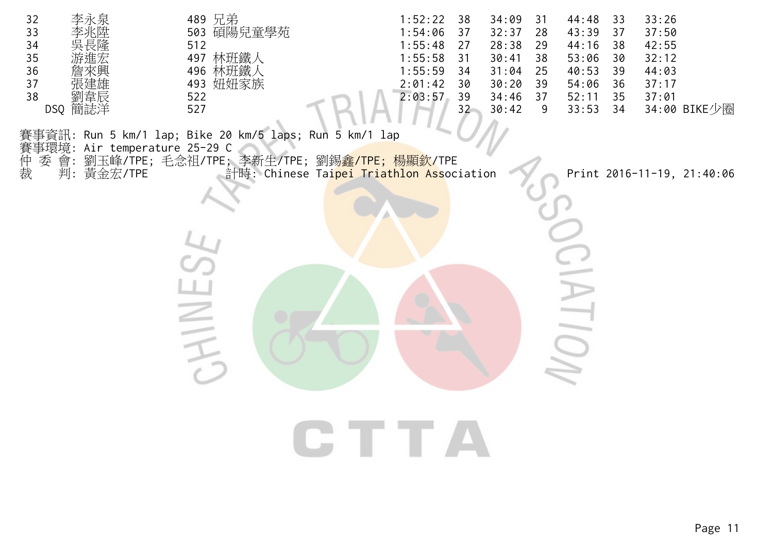| 李永泉<br>32<br>33<br>李兆陞<br>長隆<br>34<br>35<br>$36\,$<br>37<br>38<br>劉韋辰<br>DSQ 簡誌洋 | 489 兄弟<br>503 碩陽兒童學苑<br>512<br>497 林班鐵人<br>496 林班鐵人<br>493 妞妞家族<br>522<br>527                                                                                                               | 1:52:22<br>38<br>1:54:06<br>37<br>1:55:48<br>27<br>1:55:58<br>31<br>1:55:59<br>34<br>2:01:42<br>30<br>2:03:57<br>39<br>32 | 34:09<br>31<br>32:37<br>28<br>28:38<br>29<br>30:41<br>38<br>31:04<br>25<br>30:20<br>39<br>34:46<br>37<br>30:42<br>9 | 44:48<br>33<br>43:39<br>37<br>44:16<br>38<br>53:06<br>30<br>40:53<br>39<br>54:06<br>36<br>52:11<br>35<br>33:53<br>34 | 33:26<br>37:50<br>42:55<br>32:12<br>44:03<br>37:17<br>37:01<br>34:00 BIKE少圈 |
|----------------------------------------------------------------------------------|---------------------------------------------------------------------------------------------------------------------------------------------------------------------------------------------|---------------------------------------------------------------------------------------------------------------------------|---------------------------------------------------------------------------------------------------------------------|----------------------------------------------------------------------------------------------------------------------|-----------------------------------------------------------------------------|
| 賽事環境:                                                                            | 賽事資訊: Run 5 km/1 lap; Bike 20 km/5 laps; Run 5 km/1 lap<br>Air temperature 25-29 C                                                                                                          |                                                                                                                           |                                                                                                                     |                                                                                                                      |                                                                             |
| 仲裁<br>委                                                                          | 會: 劉玉峰/TPE; 毛念祖/TPE; 李新生/TPE; 劉錫 <mark>鑫/TPE; 楊顯欽/</mark> TPE<br>判: 黃金宏/TPE                  計時: Chinese Ta <mark>ipei Triathlon Ass</mark> oc:<br>計時: Chinese Taipei Triathlon Association |                                                                                                                           |                                                                                                                     |                                                                                                                      | Print 2016-11-19, 21:40:06                                                  |
|                                                                                  |                                                                                                                                                                                             |                                                                                                                           |                                                                                                                     | <b>Contract Contract</b>                                                                                             |                                                                             |
|                                                                                  |                                                                                                                                                                                             | CTTA                                                                                                                      |                                                                                                                     |                                                                                                                      |                                                                             |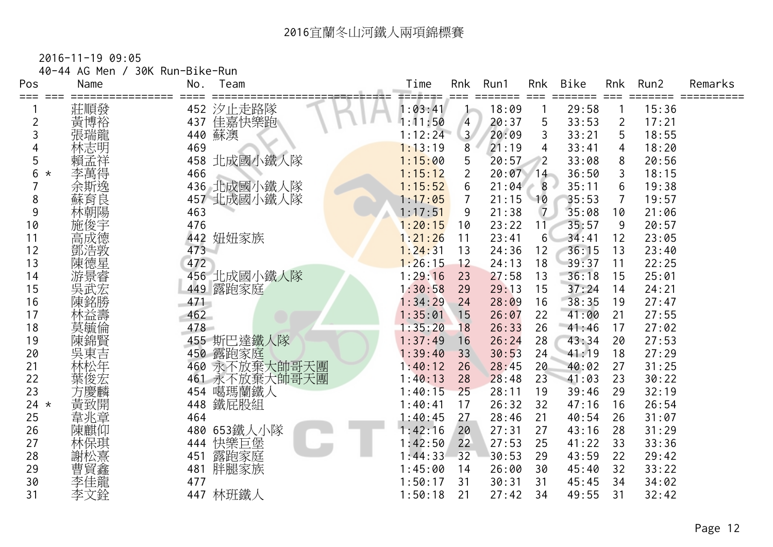| Pos<br>===     | 40-44 AG Men /<br>Name | 30K Run-Bike-Run<br>No. | Team          | Time    | Rnk            | Run1       | Rnk<br>$==$       | <b>Bike</b><br>===== | Rnk            | Run2  | Remarks |
|----------------|------------------------|-------------------------|---------------|---------|----------------|------------|-------------------|----------------------|----------------|-------|---------|
|                | 莊順發                    |                         | 452 汐止走路隊     | 1:03:41 |                | 18:09      |                   | 29:58                |                | 15:36 |         |
| $\overline{2}$ | 黃博裕                    | 437                     | 佳嘉快樂跑         | 1:11:50 | $\overline{4}$ | 20:37      | 5                 | 33:53                | $\overline{2}$ | 17:21 |         |
| 3              | 張瑞龍                    |                         | 440 蘇澳        | 1:12:24 | 3 <sup>7</sup> | 20:09      | 3                 | 33:21                | 5              | 18:55 |         |
|                | 林志明                    | 469                     |               | 1:13:19 | 8              | 21:19      | 4                 | 33:41                | 4              | 18:20 |         |
| 5              | 賴孟祥                    | 458                     | 北成國小鐵人隊       | 1:15:00 | 5              | 20:57      | $\overline{2}$    | 33:08                | 8              | 20:56 |         |
| 6<br>$^\star$  | 李萬得                    | 466                     |               | 1:15:12 | $\overline{2}$ | $20:07$ 14 |                   | 36:50                | 3              | 18:15 |         |
|                | 余斯逸                    |                         | 436 北成國小鐵人隊   | 1:15:52 | 6              | 21:04      | 8 <sup>1</sup>    | 35:11                | 6              | 19:38 |         |
| 8              | 蘇育良                    |                         | 457 北成國小鐵人隊   | 1:17:05 | $\overline{7}$ | 21:15      | 10                | 35:53                | 7              | 19:57 |         |
| 9              | 林朝陽                    | 463                     |               | 1:17:51 | 9              | 21:38      | $\overline{7}$    | 35:08                | 10             | 21:06 |         |
| 10             | 施俊宇                    | 476                     |               | 1:20:15 | 10             | 23:22      | 11                | 35:57                | 9              | 20:57 |         |
| 11             | 高成德                    |                         | 442 妞妞家族      | 1:21:26 | 11             | 23:41      | $6^{\circ}$       | 34:41                | 12             | 23:05 |         |
| 12             | 鄧浩敦                    | $473 -$                 |               | 1:24:31 | 13             | 24:36      | $12 \overline{ }$ | 36:15                | 13             | 23:40 |         |
| 13             | 陳德星                    | 472                     |               | 1:26:15 | 12             | 24:13      | 18                | 39:37                | 11             | 22:25 |         |
| 14             | 游景睿                    |                         | 456 北成國小鐵人隊   | 1:29:16 | 23             | 27:58      | 13                | 36:18                | 15             | 25:01 |         |
| 15             | 吳武宏                    |                         | 449 露跑家庭      | 1:30:58 | 29             | 29:13      | 15                | 37:24                | 14             | 24:21 |         |
| 16             | 陳銘勝                    | 471                     |               | 1:34:29 | 24             | 28:09      | 16                | 38:35                | 19             | 27:47 |         |
| 17             | 林益壽                    | 462                     |               | 1:35:01 | 15             | 26:07      | 22                | 41:00                | 21             | 27:55 |         |
| 18             | 莫毓倫                    | 478                     |               | 1:35:20 | 18             | 26:33      | 26                | 41:46                | 17             | 27:02 |         |
| 19             | 陳錦賢                    |                         | 455 斯巴達鐵人隊    | 1:37:49 | 16             | 26:24      | 28                | 43:34                | 20             | 27:53 |         |
| 20             | 吳東吉                    |                         | 450 露跑家庭      | 1:39:40 | 33             | 30:53      | 24                | 41:19                | 18             | 27:29 |         |
| 21             | 林松年                    |                         | 460 永不放棄大帥哥天團 | 1:40:12 | 26             | 28:45      | 20                | 40:02                | 27             | 31:25 |         |
| 22             | 葉俊宏                    |                         | 461 永不放棄大帥哥天團 | 1:40:13 | 28             | 28:48      | 23                | 41:03                | 23             | 30:22 |         |
| 23             | 方慶麟                    |                         | 454 噶瑪蘭鐵人     | 1:40:15 | 25             | 28:11      | 19                | 39:46                | 29             | 32:19 |         |
| 24 $*$         | 黃致開                    | 448                     | 鐵屁股組          | 1:40:41 | 17             | 26:32      | 32                | 47:16                | 16             | 26:54 |         |
| 25             | 韋兆章                    | 464                     |               | 1:40:45 | 27             | 28:46      | 21                | 40:54                | 26             | 31:07 |         |
| 26             | 陳麒仰                    |                         | 480 653鐵人小隊   | 1:42:16 | 20             | 27:31      | 27                | 43:16                | 28             | 31:29 |         |
| 27             | 林保琪                    | 444                     | 快樂巨堡          | 1:42:50 | 22             | 27:53      | 25                | 41:22                | 33             | 33:36 |         |
| 28             | 謝松熹                    | 451                     | 露跑家庭          | 1:44:33 | 32             | 30:53      | 29                | 43:59                | 22             | 29:42 |         |
| 29             |                        | 481                     | 胖腿家族          | 1:45:00 | 14             | 26:00      | 30                | 45:40                | 32             | 33:22 |         |
| 30             | 曹貿鑫龍                   | 477                     |               | 1:50:17 | 31             | 30:31      | 31                | 45:45                | 34             | 34:02 |         |
| 31             | 李文銓                    |                         | 447 林班鐵人      | 1:50:18 | 21             | 27:42      | 34                | 49:55                | 31             | 32:42 |         |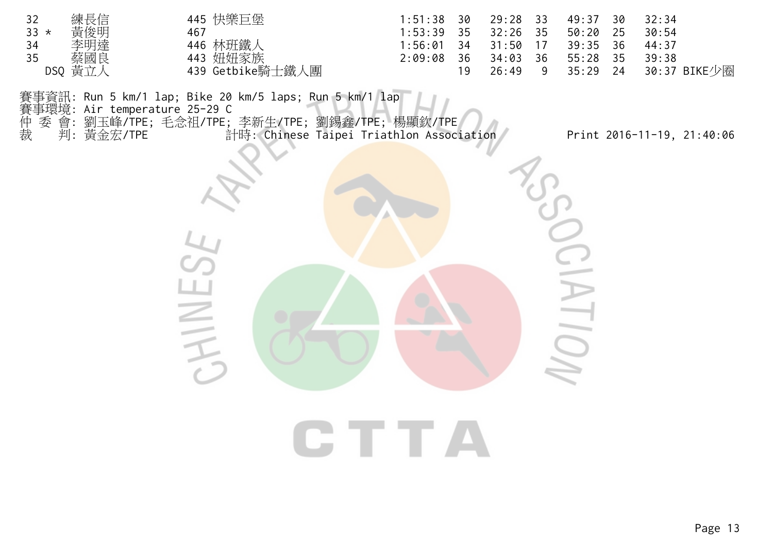| 32     | 練長信     | 445 快樂巨堡         | 1:51:38 | - 30 | 29:28 | 33 | 49:37 | - 30 | 32:34        |
|--------|---------|------------------|---------|------|-------|----|-------|------|--------------|
| $33 *$ | 黃俊明     | 467              | 1:53:39 | - 35 | 32:26 | 35 | 50:20 | 25   | 30:54        |
| 34     | 李明達     | 446 林班鐵人         | :56:01  | 34   | 31:50 |    | 39:35 | - 36 | 44:37        |
| 35     | 蔡國良     | 443 妞妞家族         | 2:09:08 | -36  | 34:03 | 36 | 55:28 | -35  | 39:38        |
|        | DSQ 黄立人 | 439 Getbike騎士鐵人團 |         |      | 26:49 |    | 35:29 | 24   | 30:37 BIKE少圈 |

賽事資訊: Run 5 km/1 lap; Bike 20 km/5 laps; Run 5 km/1 lap<br>賽事環境: Air temperature 25-29 C<br>仲 委 會: 劉玉峰/TPE; 毛念祖/TPE; 李新生/TPE; 劉錫鑫/TPE; 楊<br>裁 判: 黃金宏/TPE 計時: Chinese Taipei Triathl

賽事環境: Air temperature 25-29 C

仲 委 會: 劉玉峰/TPE; 毛念祖/TPE; 李新生/TPE; 劉錫鑫/TPE; 楊顯欽/TPE

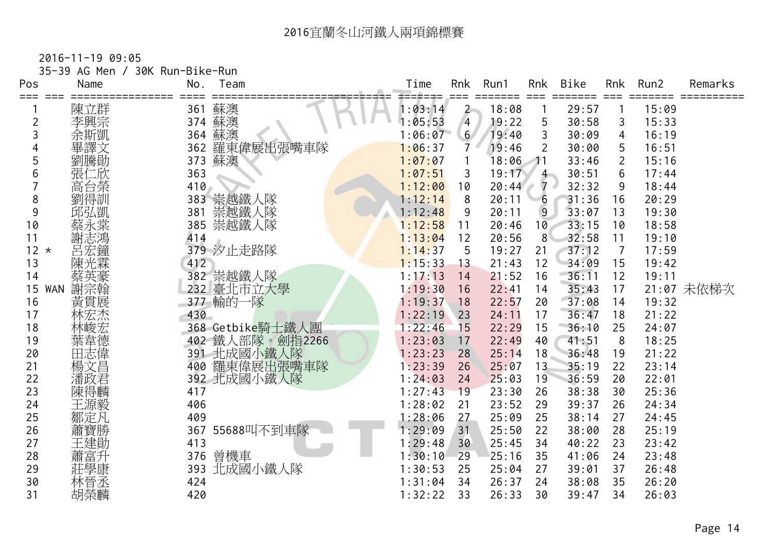|                  | 35-39 AG Men / | 30K Run-Bike-Run |                  |                    |                |                 |                |                |                |                |            |
|------------------|----------------|------------------|------------------|--------------------|----------------|-----------------|----------------|----------------|----------------|----------------|------------|
| Pos<br>===       | Name           | No.              | Team             | Time               | Rnk            | Run1            | Rnk<br>$===$   | Bike<br>=====  | Rnk            | Run2<br>=====  | Remarks    |
|                  | 陳立群            | 361              | 蘇澳               | 1:03:14            | $\overline{2}$ | 18:08           |                | 29:57          |                | 15:09          |            |
| $\overline{2}$   | 李興宗            | 374              | 蘇澳               | 1:05:53            | $\overline{4}$ | 19:22           | 5              | 30:58          | 3              | 15:33          |            |
| 3                | 余斯凱            | 364              | 蘇澳               | 1:06:07            | 6 <sup>7</sup> | 19:40           | 3              | 30:09          | $\overline{4}$ | 16:19          |            |
|                  | 畢譯文            | 362              | 羅東偉展出張嘴車隊        | 1:06:37            | $\overline{7}$ | 19:46           | 2              | 30:00          | 5              | 16:51          |            |
|                  | 劉騰勛            | 373              | 蘇澳               | 1:07:07            |                | 18:06           | $\rightarrow$  | 33:46          | $\overline{2}$ | 15:16          |            |
| 6                | 張仁欣            | 363              |                  | 1:07:51            | 3              | 19:17           | 4 <sup>1</sup> | 30:51          | 6              | 17:44          |            |
|                  | 高台榮            | 410              |                  | 1:12:00            | 10             | 20:44           | $7 \cdot$      | 32:32          | 9              | 18:44          |            |
| 8                | 劉得訓            |                  | 383 崇越鐵人隊        | 1:12:14            | 8              | 20:11           | 6              | 31:36          | 16             | 20:29          |            |
| 9                | 邱弘凱            | 381              | 崇越鐵人隊            | 1:12:48            | 9              | 20:11           | $\overline{9}$ | 33:07          | 13             | 19:30          |            |
| 10               | 蔡永棠            | 385              | 崇越鐵人隊            | 1:12:58            | 11             | 20:46           | 10             | 33:15          | 10             | 18:58          |            |
| 11               | 謝志鴻            | 414              |                  | 1:13:04            | 12             | 20:56           | 8 <sup>°</sup> | 32:58          | 11             | 19:10          |            |
| $12 *$           | 呂宏鐘            |                  | 379 汐止走路隊        | 1:14:37            | 5              | 19:27           | 21             | 37:12          | $\overline{7}$ | 17:59          |            |
| 13               | 陳光霖            | 412              |                  | 1:15:33            | 13             | 21:43           | 12             | 34:09          | 15             | 19:42          |            |
| 14               |                |                  | 382 崇越鐵人隊        | 1:17:13            | 14             | 21:52           | 16             | 36:11          | 12             | 19:11          |            |
| 15<br><b>WAN</b> | 謝宗翰            |                  | 232 臺北市立大學       | 1:19:30            | 16             | 22:41           | 14             | 35:43          | 17             |                | 21:07 未依梯次 |
| 16               | 黃貫展            |                  | 377 輸的一隊         | 1:19:37            | 18             | 22:57           | 20             | 37:08          | 14             | 19:32          |            |
| 17               | 林宏杰            | 430              |                  | 1:22:19            | 23             | 24:11           | 17             | 36:47          | 18             | 21:22          |            |
| 18               | 林峻宏            |                  | 368 Getbike騎士鐵人團 | 1:22:46            | 15             | 22:29           | 15             | 36:10          | 25             | 24:07          |            |
| 19               | 葉韋德            |                  | 402 鐵人部隊。劍指2266  | 1:23:03            | 17             | 22:49           | 40             | 41:51          | 8              | 18:25          |            |
| 20               | 田志偉            |                  | 391 北成國小鐵人隊      | 1:23:23            | 28             | 25:14           | 18             | 36:48          | 19             | 21:22          |            |
| 21               | 楊文昌            |                  | 400 羅東偉展出張嘴車隊    | 1:23:39            | 26             | 25:07           | 13             | 35:19          | 22             | 23:14          |            |
| 22               | 潘政君            |                  | 392 北成國小鐵人隊      | 1:24:03            | 24             | 25:03           | 19             | 36:59          | 20             | 22:01          |            |
| 23               | 陳得麟            | 417              |                  | 1:27:43<br>1:28:02 | 19<br>21       | 23:30           | 26<br>29       | 38:38          | 30             | 25:36          |            |
| 24               | 王源毅            | 406              |                  |                    |                | 23:52           |                | 39:37          | 26             | 24:34          |            |
| 25               | 鄒定凡            | 409              |                  | 1:28:06            | 27             | 25:09           | 25             | 38:14          | 27             | 24:45          |            |
| 26               | 蕭寶勝            |                  | 367 55688叫不到車隊   | 1:29:09            | 31             | 25:50           | 22             | 38:00          | 28             | 25:19          |            |
| 27<br>28         | 王建勛            | 413<br>376       |                  | 1:29:48<br>1:30:10 | 30<br>29       | 25:45<br>125:16 | 34<br>35       | 40:22<br>41:06 | 23<br>24       | 23:42<br>23:48 |            |
| 29               | 蕭富升            |                  | 曾機車              | 1:30:53            | 25             | 25:04           | 27             | 39:01          | 37             | 26:48          |            |
| 30               | 莊學康<br>林晉丞     | 424              | 393 北成國小鐵人隊      | 1:31:04            | 34             | 26:37           | 24             | 38:08          | 35             | 26:20          |            |
| 31               |                | 420              |                  |                    | 33             | 26:33           | 30             | 39:47          | 34             | 26:03          |            |
|                  | 胡榮麟            |                  |                  | 1:32:22            |                |                 |                |                |                |                |            |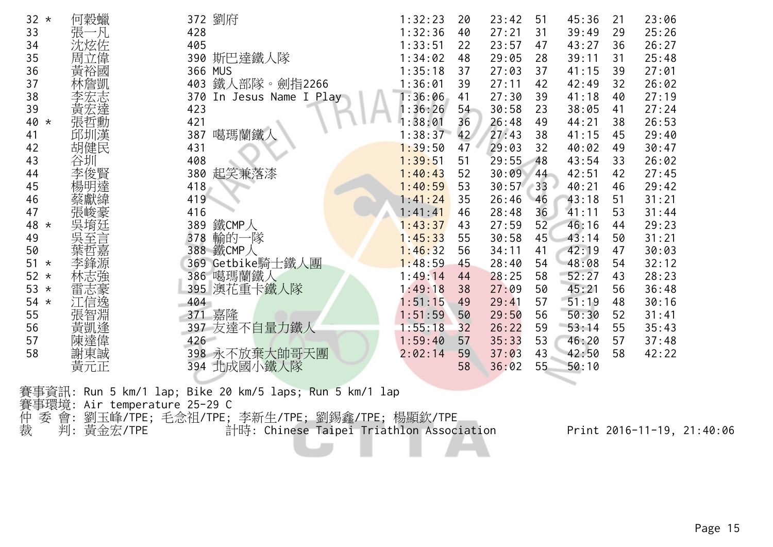| 32<br>$\star$  | 何穀蠟     | 372 劉府                      | 1:32:23 | 20 | 23:42 | 51    | 45:36 | 21 | 23:06 |
|----------------|---------|-----------------------------|---------|----|-------|-------|-------|----|-------|
| 33             | 張一凡     | 428                         | 1:32:36 | 40 | 27:21 | 31    | 39:49 | 29 | 25:26 |
| 34             | 沈炫佐     | 405                         | 1:33:51 | 22 | 23:57 | 47    | 43:27 | 36 | 26:27 |
| 35             | 周立偉     | 390 斯巴達鐵人隊                  | 1:34:02 | 48 | 29:05 | 28    | 39:11 | 31 | 25:48 |
| 36             | 黃裕國     | 366 MUS                     | 1:35:18 | 37 | 27:03 | 37    | 41:15 | 39 | 27:01 |
| 37             | 林詹凱     | 鐵人部隊。劍指2266<br>403          | 1:36:01 | 39 | 27:11 | 42    | 42:49 | 32 | 26:02 |
| 38             | 李宏志     | 370<br>In Jesus Name I Play | 1:36:06 | 41 | 27:30 | 39    | 41:18 | 40 | 27:19 |
| 39             | 黃宏達     | 423                         | :36:26  | 54 | 30:58 | 23    | 38:05 | 41 | 27:24 |
| 40<br>$^\star$ | 張哲勳     | 421                         | :38:01  | 36 | 26:48 | 49    | 44:21 | 38 | 26:53 |
| 41             | 邱圳漢     | 噶瑪蘭鐵人<br>387                | 1:38:37 | 42 | 27:43 | 38    | 41:15 | 45 | 29:40 |
| 42             | 胡健民     | 431                         | 1:39:50 | 47 | 29:03 | 32    | 40:02 | 49 | 30:47 |
| 43             | 谷圳      | 408                         | 1:39:51 | 51 | 29:55 | 48    | 43:54 | 33 | 26:02 |
| 44             | 李俊賢     | 起笑兼落漆<br>380                | 1:40:43 | 52 | 30:09 | 44    | 42:51 | 42 | 27:45 |
| 45             | 楊明達     | 418                         | 1:40:59 | 53 | 30:57 | $-33$ | 40:21 | 46 | 29:42 |
| 46             | 蔡獻緯     | 419                         | 1:41:24 | 35 | 26:46 | 46    | 43:18 | 51 | 31:21 |
| 47             | 張峻豪     | 416                         | 1:41:41 | 46 | 28:48 | 36    | 41:11 | 53 | 31:44 |
| 48<br>$\star$  | 吳堉廷     | 鐵CMP人<br>389                | 1:43:37 | 43 | 27:59 | 52    | 46:16 | 44 | 29:23 |
| 49             | 吳至<br>言 | 輸的一隊<br>378                 | 1:45:33 | 55 | 30:58 | 45    | 43:14 | 50 | 31:21 |
| 50             |         | 388 鐵CMP人                   | 1:46:32 | 56 | 34:11 | 41    | 42:19 | 47 | 30:03 |
| 51<br>$\star$  |         | 369 Getbike騎士鐵人團            | 1:48:59 | 45 | 28:40 | 54    | 48:08 | 54 | 32:12 |
| 52<br>$\star$  | 林志強     | 386 噶瑪蘭鐵人                   | 1:49:14 | 44 | 28:25 | 58    | 52:27 | 43 | 28:23 |
| 53<br>$\star$  | 雷志豪     | 395 澳花重卡鐵人隊                 | 1:49:18 | 38 | 27:09 | 50    | 45:21 | 56 | 36:48 |
| 54<br>$\star$  | 江信逸     | 404                         | 1:51:15 | 49 | 29:41 | 57    | 51:19 | 48 | 30:16 |
| 55             | 張智淵     | 371 嘉隆                      | 1:51:59 | 50 | 29:50 | 56    | 50:30 | 52 | 31:41 |
| 56             | 黃凱逢     | 397 友達不自量力鐵人                | 1:55:18 | 32 | 26:22 | 59    | 53:14 | 55 | 35:43 |
| 57             | 陳達偉     | 426                         | 1:59:40 | 57 | 35:33 | 53    | 46:20 | 57 | 37:48 |
| 58             | 謝東誠     | 398 永不放棄大帥哥天團               | 2:02:14 | 59 | 37:03 | 43    | 42:50 | 58 | 42:22 |
|                | 黃元正     | 北成國小鐵人隊<br>394              |         | 58 | 36:02 | 55    | 50:10 |    |       |
|                |         |                             |         |    |       |       |       |    |       |

賽事資訊: Run 5 km/1 lap; Bike 20 km/5 laps; Run 5 km/1 lap

賽事環境: Air temperature 25-29 C

仲 委 會: 劉玉峰/TPE; 毛念祖/TPE; 李新生/TPE; 劉錫鑫/TPE; 楊顯欽/TPE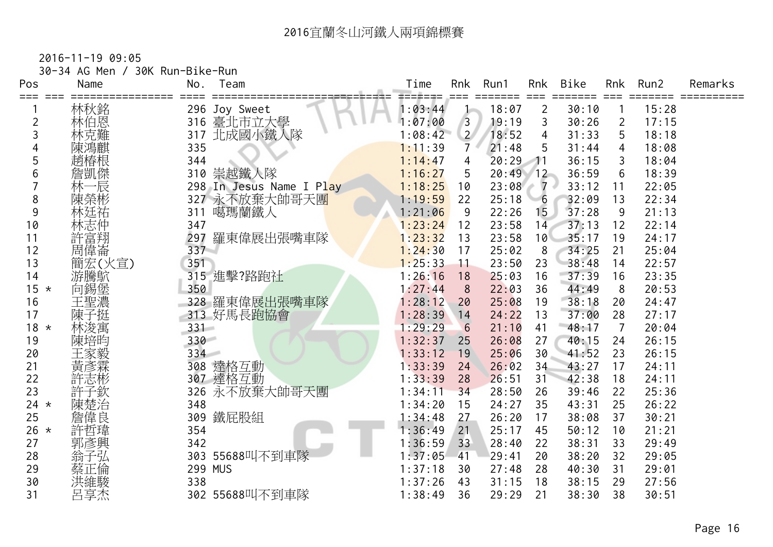| Pos            | 30-34 AG Men /<br>Name | 30K Run-Bike-Run<br>No. | Team                     | Time |                   | Rnk            | Run1           | Rnk                     | Bike           | Rnk            | Run2  | Remarks          |
|----------------|------------------------|-------------------------|--------------------------|------|-------------------|----------------|----------------|-------------------------|----------------|----------------|-------|------------------|
| ===            | 林秋銘                    |                         | 296 Joy Sweet            |      | ==≠===<br>1:03:44 |                | =====<br>18:07 | $===$<br>$\overline{2}$ | =====<br>30:10 |                | 15:28 | ===== ========== |
| $\overline{c}$ | 林伯恩                    | 316                     | 臺北市立大學                   |      | 1:07:00           | $\overline{3}$ | 19:19          | 3                       | 30:26          | $\overline{2}$ | 17:15 |                  |
| 3              | 林克難                    | 317                     | 北成國小鐵人隊                  |      | 1:08:42           | $\overline{2}$ | 18:52          | $\overline{4}$          | 31:33          | 5              | 18:18 |                  |
|                |                        | 335                     |                          |      | 1:11:39           | $\overline{7}$ | 21:48          | 5                       | 31:44          | 4              | 18:08 |                  |
| 5              | 趙椿根                    | 344                     |                          |      | 1:14:47           | 4              | 20:29          | $\rightarrow$           | 36:15          | 3              | 18:04 |                  |
| 6              | 詹凱傑                    |                         | 310 崇越鐵人隊                |      | 1:16:27           | 5              | 20:49          | 12                      | 36:59          | 6              | 18:39 |                  |
|                | 林一辰                    |                         | 298 In Jesus Name I Play |      | 1:18:25           | 10             | 23:08          | - 7 -                   | 33:12          | 11             | 22:05 |                  |
| 8              | 陳榮彬                    |                         | 327 永不放棄大帥哥天團            |      | 1:19:59           | 22             | 25:18          | $-6$                    | 32:09          | 13             | 22:34 |                  |
| 9              | 林廷祐                    | 311                     | 噶瑪蘭鐵人                    |      | 1:21:06           | 9              | 22:26          | 15 <sub>1</sub>         | 37:28          | 9              | 21:13 |                  |
| 10             | 林志仲                    | 347                     |                          |      | 1:23:24           | 12             | 23:58          | 14                      | 37:13          | 12             | 22:14 |                  |
| 11             | 許富翔                    |                         | 297 羅東偉展出張嘴車隊            |      | 1:23:32           | 13             | 23:58          | 10 <sup>1</sup>         | 35:17          | 19             | 24:17 |                  |
| 12             | 周偉崙                    | $337 -$                 |                          |      | 1:24:30           | 17             | 25:02          | 8                       | 34:25          | 21             | 25:04 |                  |
| 13             | 簡宏(火宣)                 | 351                     |                          |      | 1:25:33           | 11             | 23:50          | 23                      | 38:48          | 14             | 22:57 |                  |
| 14             | 游騰鴥                    |                         | 315 進擊?路跑社               |      | 1:26:16           | 18             | 25:03          | 16                      | 37:39          | 16             | 23:35 |                  |
| $15 *$         | 向錫堡                    | 350                     |                          |      | 1:27:44           | 8              | 22:03          | 36                      | 44:49          | 8              | 20:53 |                  |
| 16             | 王聖濃                    |                         | 328 羅東偉展出張嘴車隊            |      | 1:28:12           | 20             | 25:08          | 19                      | 38:18          | 20             | 24:47 |                  |
| 17             | 陳子挺                    |                         | 313 好馬長跑協會               |      | 1:28:39           | 14             | 24:22          | 13                      | 37:00          | 28             | 27:17 |                  |
| $18 *$         | 林浚寓                    | $331 -$                 |                          |      | 1:29:29           | 6              | 21:10          | 41                      | 48:17          | $\overline{7}$ | 20:04 |                  |
| 19             | 陳培昀                    | 330                     |                          |      | 1:32:37           | 25             | 26:08          | 27                      | 40:15          | 24             | 26:15 |                  |
| 20             | 王家毅                    | 334                     |                          |      | 1:33:12           | 19             | 25:06          | 30                      | 41:52          | 23             | 26:15 |                  |
| 21             | 黃彥霖                    |                         | 308 達格互動                 |      | 1:33:39           | 24             | 26:02          | 34                      | 43:27          | 17             | 24:11 |                  |
| 22             | 許志彬                    |                         | 307 達格互動                 |      | 1:33:39           | 28             | 26:51          | 31                      | 42:38          | 18             | 24:11 |                  |
| 23             | 許子欽                    | 326                     | 永不放棄大帥哥天團                |      | 1:34:11           | 34             | 28:50          | 26                      | 39:46          | 22             | 25:36 |                  |
| 24 $\star$     | 陳楚治                    | 348                     |                          |      | 1:34:20           | 15             | 24:27          | 35                      | 43:31          | 25             | 26:22 |                  |
| 25             | 詹偉良                    | 309                     | 鐵屁股組                     |      | 1:34:48           | 27             | 26:20          | 17                      | 38:08          | 37             | 30:21 |                  |
| $26 *$         | 許哲瑋                    | 354                     |                          |      | 1:36:49           | 21             | 25:17          | 45                      | 50:12          | 10             | 21:21 |                  |
| 27             | 郭彥興                    | 342                     |                          |      | 1:36:59           | 33             | 28:40          | 22                      | 38:31          | 33             | 29:49 |                  |
| 28             | 翁子弘                    |                         | 303 55688叫不到車隊           |      | 1:37:05           | 41             | 29:41          | 20                      | 38:20          | 32             | 29:05 |                  |
| 29             | 蔡正倫                    |                         | 299 MUS                  |      | 1:37:18           | 30             | 27:48          | 28                      | 40:30          | 31             | 29:01 |                  |
| 30             |                        | 338                     |                          |      | 1:37:26           | 43             | 31:15          | 18                      | 38:15          | 29             | 27:56 |                  |
| 31             | 呂享杰                    |                         | 302 55688叫不到車隊           |      | 1:38:49           | 36             | 29:29          | 21                      | 38:30          | 38             | 30:51 |                  |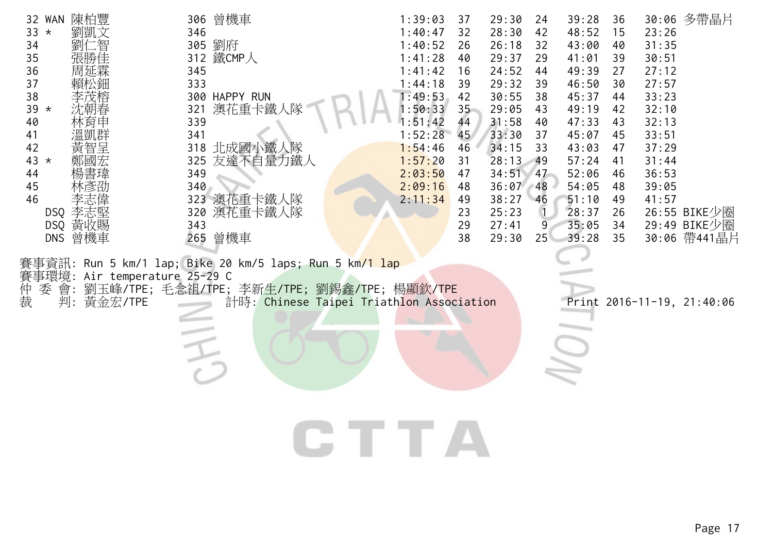| 32 WAN 陳柏豐<br>$33 *$<br>劉凱文<br>:智<br>劉仁<br>34<br>張勝佳<br>35<br>36<br>周延霖<br>37<br>賴松鈿<br>38<br>李茂榕<br>39 *<br>林育申<br>40<br>溫凱群<br>41<br>黃智呈<br>42<br>43 $*$<br>44<br>45<br>46<br>李志堅<br>DSQ<br>DSQ 黃收賜 | 306 曾機車<br>346<br>305 劉府<br>312 鐵CMP人<br>345<br>333<br>300 HAPPY RUN<br>澳花重卡鐵人隊<br>321<br>339<br>341<br>318 北成國小鐵人隊<br>友達不自量力鐵人<br>325<br>349<br>340<br>323 澳花重卡鐵人隊<br>320<br>澳花重卡鐵人隊<br>343 | 1:39:03<br>37<br>1:40:47<br>32<br>1:40:52<br>26<br>1:41:28<br>40<br>1:41:42<br>16<br>1:44:18<br>39<br>1:49:53<br>42<br>:50:33<br>35 <sub>1</sub><br>:51:42<br>44<br>1:52:28<br>45<br>1:54:46<br>46<br>1:57:20<br>31<br>2:03:50<br>47<br>2:09:16<br>48<br>2:11:34<br>49<br>23<br>29 | 29:30<br>24<br>28:30<br>42<br>26:18<br>32<br>29:37<br>29<br>24:52<br>44<br>29:32<br>39<br>30:55<br>38<br>29:05<br>43<br>31:58<br>40<br>33:30<br>37<br>34:15<br>33<br>28:13<br>49<br>34:51<br>47<br>36:07<br>48<br>38:27<br>46<br>25:23<br>27:41<br>9 | 39:28<br>36<br>48:52<br>15<br>43:00<br>40<br>41:01<br>39<br>49:39<br>27<br>46:50<br>30<br>45:37<br>44<br>49:19<br>42<br>47:33<br>43<br>45:07<br>45<br>43:03<br>47<br>57:24<br>41<br>52:06<br>46<br>54:05<br>48<br>51:10<br>49<br>28:37<br>26<br>35:05<br>34 | 30:06 多帶晶片<br>23:26<br>31:35<br>30:51<br>27:12<br>27:57<br>33:23<br>32:10<br>32:13<br>33:51<br>37:29<br>31:44<br>36:53<br>39:05<br>41:57<br>26:55 BIKE少圈<br>29:49 BIKE少圈 |
|-------------------------------------------------------------------------------------------------------------------------------------------------------------------------------------------------------|----------------------------------------------------------------------------------------------------------------------------------------------------------------------------------------------|------------------------------------------------------------------------------------------------------------------------------------------------------------------------------------------------------------------------------------------------------------------------------------|------------------------------------------------------------------------------------------------------------------------------------------------------------------------------------------------------------------------------------------------------|-------------------------------------------------------------------------------------------------------------------------------------------------------------------------------------------------------------------------------------------------------------|--------------------------------------------------------------------------------------------------------------------------------------------------------------------------|
| 曾機車<br><b>DNS</b><br>賽事環境:<br>會:<br>委                                                                                                                                                                 | 265 曾機車<br>事資訊: Run 5 km/1 lap; Bike 20 km/5 laps; Run 5 km <mark>/1 lap</mark><br>Air temperature 25-29 C<br>劉玉峰/TPE;毛念祖/TPE;李新生/TPE;劉錫鑫/TPE;楊顯欽/TPE                                        | 38                                                                                                                                                                                                                                                                                 | 29:30<br>25 <sup>2</sup>                                                                                                                                                                                                                             | 39:28<br>35                                                                                                                                                                                                                                                 | 30:06 帶441晶片                                                                                                                                                             |
| 仲裁<br>判:<br>黃金宏/TPE                                                                                                                                                                                   | 計時: Chinese Taipei Triathlon Association                                                                                                                                                     |                                                                                                                                                                                                                                                                                    |                                                                                                                                                                                                                                                      |                                                                                                                                                                                                                                                             | Print 2016-11-19, 21:40:06                                                                                                                                               |
|                                                                                                                                                                                                       |                                                                                                                                                                                              | CTTA                                                                                                                                                                                                                                                                               |                                                                                                                                                                                                                                                      |                                                                                                                                                                                                                                                             |                                                                                                                                                                          |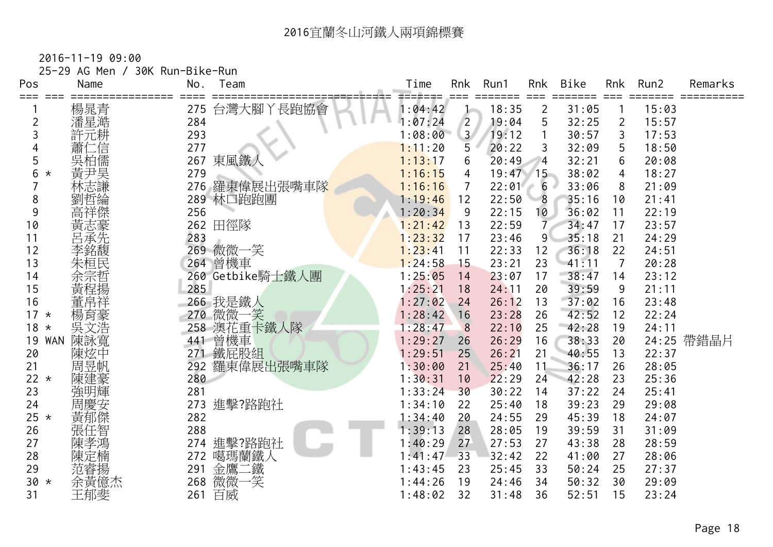| $2016 - 11 - 1909:00$ |                                 |
|-----------------------|---------------------------------|
|                       | 25-29 AG Men / 30K Run-Bike-Run |

| Pos              | Name               | No. | Team             | Time               | Rnk            | Run1             | Rnk                    | <b>Bike</b>    | Rnk            | Run2  | Remarks |
|------------------|--------------------|-----|------------------|--------------------|----------------|------------------|------------------------|----------------|----------------|-------|---------|
| ===<br>$==$      |                    | 275 |                  | =======<br>1:04:42 |                | $=====$<br>18:35 | $==$<br>$\overline{2}$ | =====<br>31:05 |                | 15:03 |         |
| $\overline{2}$   | 楊晁青<br>潘星澔         | 284 | 台灣大腳丫長跑協會        | 1:07:24            | $\overline{2}$ | 19:04            | 5                      | 32:25          | $\overline{2}$ | 15:57 |         |
| 3                | 許元耕                | 293 |                  | 1:08:00            | 3 <sup>7</sup> | 19:12            |                        | 30:57          | 3              | 17:53 |         |
|                  | 二信                 | 277 |                  | 1:11:20            | 5              | 20:22            | 3                      | 32:09          | 5              | 18:50 |         |
| 5                | 吳柏儒                | 267 | 東風鐵人             | 1:13:17            | 6              | 20:49            | $\overline{4}$         | 32:21          | 6              | 20:08 |         |
| 6<br>$^\star$    |                    | 279 |                  | 1:16:15            | 4              | $19:47$ 15       |                        | 38:02          | 4              | 18:27 |         |
|                  | 会<br>黄尹<br>林志<br>林 | 276 | 羅東偉展出張嘴車隊        | 1:16:16            | 7              | 22:01            | 6                      | 33:06          | 8              | 21:09 |         |
| 8                | 劉哲綸                |     | 289 林口跑跑團        | 1:19:46            | 12             | 22:50            | 8                      | 35:16          | 10             | 21:41 |         |
| 9                | 高祥傑                | 256 |                  | 1:20:34            | 9              | 22:15            | 10                     | 36:02          | 11             | 22:19 |         |
| 10               |                    |     | 262 田徑隊          | 1:21:42            | 13             | 22:59            | 7                      | 34:47          | 17             | 23:57 |         |
| 11               | 黃志豪先               | 283 |                  | 1:23:32            | 17             | 23:46            | $\overline{9}$         | 35:18          | 21             | 24:29 |         |
| 12               | 李銘馥                | 269 | 微微一笑             | 1:23:41            | 11             | 22:33            | 12                     | 36:18          | 22             | 24:51 |         |
| 13               | 朱桓民                |     | 264 曾機車          | 1:24:58            | 15             | 23:21            | 23                     | 41:11          | $\overline{7}$ | 20:28 |         |
| 14               | 全宗哲<br>黄程揚         |     | 260 Getbike騎士鐵人團 | 1:25:05            | 14             | 23:07            | 17                     | 38:47          | 14             | 23:12 |         |
| 15               |                    | 285 |                  | 1:25:21            | 18             | 24:11            | 20                     | 39:59          | 9              | 21:11 |         |
| 16               | 董帛祥                |     | 266 我是鐵人         | 1:27:02            | 24             | 26:12            | 13                     | 37:02          | 16             | 23:48 |         |
| $17 *$           | 楊育豪                | 270 | 微微一笑             | 1:28:42            | 16             | 23:28            | 26                     | 42:52          | 12             | 22:24 |         |
| 18<br>$\star$    | 吳文浩                | 258 | 澳花重卡鐵人隊          | 1:28:47            | 8              | 22:10            | 25                     | 42:28          | 19             | 24:11 |         |
| 19<br><b>WAN</b> | 陳詠寬                | 441 | 曾機車              | 1:29:27            | 26             | 26:29            | 16                     | 38:33          | 20             | 24:25 | 帶錯晶片    |
| 20               | 陳炫中                | 271 | 鐵屁股組             | 1:29:51            | 25             | 26:21            | 21                     | 40:55          | 13             | 22:37 |         |
| 21               | 周昱帆                | 292 | 羅東偉展出張嘴車隊        | 1:30:00            | 21             | 25:40            | 11                     | 36:17          | 26             | 28:05 |         |
| 22 $*$           | 陳建豪                | 280 |                  | 1:30:31            | 10             | 22:29            | 24                     | 42:28          | 23             | 25:36 |         |
| 23               | 強明輝                | 281 |                  | 1:33:24            | 30             | 30:22            | 14                     | 37:22          | 24             | 25:41 |         |
| 24               | 周慶安                |     | 273 進擊?路跑社       | 1:34:10            | 22             | 25:40            | 18                     | 39:23          | 29             | 29:08 |         |
| $25 *$           | 黃郁傑                | 282 |                  | 1:34:40            | 20             | 24:55            | 29                     | 45:39          | 18             | 24:07 |         |
| 26               | 張任智                | 288 |                  | 1:39:13            | 28             | 28:05            | 19                     | 39:59          | 31             | 31:09 |         |
| 27               | 陳孝鴻                | 274 | 進擊?路跑社           | 1:40:29            | 27             | 27:53            | 27                     | 43:38          | 28             | 28:59 |         |
| 28               | 陳定楠                | 272 | 噶瑪蘭鐵人            | 1:41:47            | 33             | 32:42            | 22                     | 41:00          | 27             | 28:06 |         |
| 29               | 范睿揚<br>余黃億杰        | 291 | 金鷹<br>二鐵         | 1:43:45            | 23             | 25:45            | 33                     | 50:24          | 25             | 27:37 |         |
| $30 *$           |                    | 268 | 微微<br>笑          | 1:44:26            | 19             | 24:46            | 34                     | 50:32          | 30             | 29:09 |         |
| 31               | 王郁斐                | 261 | 百威               | 1:48:02            | 32             | 31:48            | 36                     | 52:51          | 15             | 23:24 |         |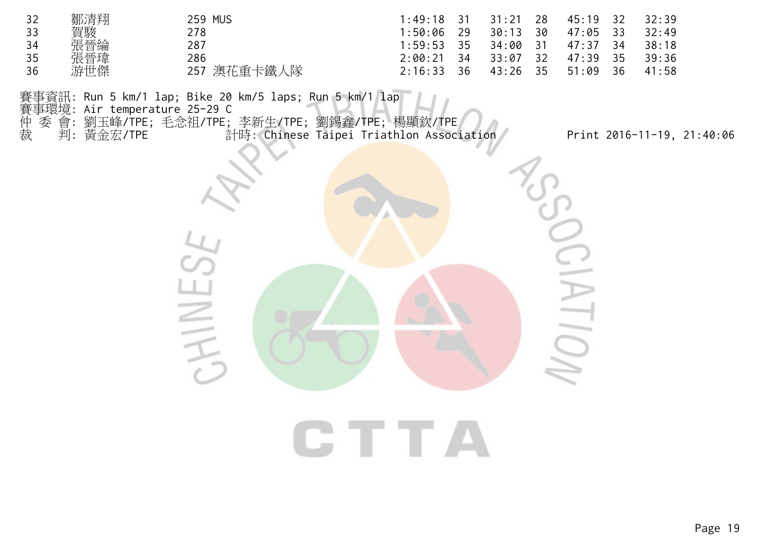| 32 | 鄒清翔 | <b>259 MUS</b> | $1:49:18$ 31 |      | $31:21$ 28 | 45:19 32 |    | 32:39 |
|----|-----|----------------|--------------|------|------------|----------|----|-------|
| 33 | 賀駿  | 278            | :50:06       | 29   | $30:13$ 30 | 47:05 33 |    | 32:49 |
| 34 | 張晉綸 | 287            | $1:59:53$ 35 |      | 34:00 31   | 47:37 34 |    | 38:18 |
| 35 | 張晉瑋 | 286            | $2:00:21$ 34 |      | 33:07 32   | 47:39 35 |    | 39:36 |
| 36 | 游世傑 | 257 澳花重卡鐵人隊    | 2:16:33      | - 36 | 43:26 35   | 51:09    | 36 | 41:58 |

賽事資訊: Run 5 km/1 lap; Bike 20 km/5 laps; Run 5 km/1 lap<br>賽事環境: Air temperature 25-29 C<br>仲 委 會: 劉玉峰/TPE; 毛念祖/TPE; 李新生/TPE; 劉錫鑫/TPE; 楊<br>裁 判: 黃金宏/TPE 計時: Chinese Taipei Triathl

賽事環境: Air temperature 25-29 C

仲 委 會: 劉玉峰/TPE; 毛念祖/TPE; 李新生/TPE; 劉錫鑫/TPE; 楊顯欽/TPE

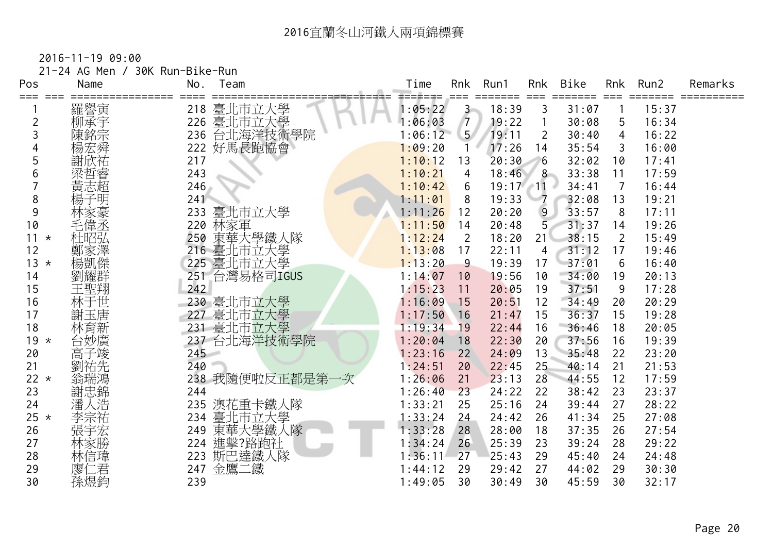|            | 21-24 AG Men / | 30K Run-Bike-Run |               |         |                |               |                     |       |                |       |         |
|------------|----------------|------------------|---------------|---------|----------------|---------------|---------------------|-------|----------------|-------|---------|
| Pos<br>=== | Name           | No.              | Team          | Time    | Rnk            | Run1<br>===== | Rnk<br>===          | Bike  | Rnk            | Run2  | Remarks |
|            | 羅譽寅            |                  | 218 臺北市立大學    | 1:05:22 | $3 -$          | 18:39         | 3                   | 31:07 |                | 15:37 |         |
| 2          | 柳承宇            | 226              | 臺北市立大學        | 1:06:03 | $\overline{7}$ | 19:22         | 1                   | 30:08 | 5              | 16:34 |         |
|            | 陳銘宗            | 236              | 台北海洋技術學院      | 1:06:12 | 5 <sup>7</sup> | 19:11         | $\overline{2}$      | 30:40 | 4              | 16:22 |         |
|            | 楊宏舜            |                  | 222 好馬長跑協會    | 1:09:20 |                | 17:26         | 14                  | 35:54 | 3              | 16:00 |         |
| 5          | 謝欣祐            | 217              |               | 1:10:12 | 13             | 20:30         | 6                   | 32:02 | 10             | 17:41 |         |
| 6          | 深哲睿<br>黄志超     | 243              |               | 1:10:21 | 4              | 18:46         | 8                   | 33:38 | 11             | 17:59 |         |
|            |                | 246              |               | 1:10:42 | 6              | 19:17         | $^{\prime\prime}11$ | 34:41 | $\overline{7}$ | 16:44 |         |
| 8          | 楊子明            | 241              |               | 1:11:01 | 8              | 19:33         |                     | 32:08 | 13             | 19:21 |         |
| 9          |                | 233              | 臺北市立大學        | 1:11:26 | 12             | 20:20         | 9                   | 33:57 | 8              | 17:11 |         |
| 10         |                |                  | 220 林家軍       | 1:11:50 | 14             | 20:48         | 5 <sub>1</sub>      | 31:37 | 14             | 19:26 |         |
| $11 *$     | 杜昭弘            | 250              | 東華大學鐵人隊       | 1:12:24 | 2              | 18:20         | 21 <sup>2</sup>     | 38:15 | 2              | 15:49 |         |
| 12         | 鄭家澤            |                  | 216 臺北市立大學    | 1:13:08 | 17             | 22:11         | 4                   | 31:12 | 17             | 19:46 |         |
| $13 *$     | 楊凱傑            |                  | 225 臺北市立大學    | 1:13:20 | 9              | 19:39         | 17                  | 37:01 | 6              | 16:40 |         |
| 14         | 劉耀群            |                  | 251 台灣易格司IGUS | 1:14:07 | 10             | 19:56         | 10                  | 34:00 | 19             | 20:13 |         |
| 15         | 王聖翔            | 242              |               | 1:15:23 | 11             | 20:05         | 19                  | 37:51 | 9              | 17:28 |         |
| 16         | 林于世            |                  | 230 臺北市立大學    | 1:16:09 | 15             | 20:51         | 12                  | 34:49 | 20             | 20:29 |         |
| 17         | 謝玉唐            |                  | 227 臺北市立大學    | 1:17:50 | 16             | 21:47         | 15                  | 36:37 | 15             | 19:28 |         |
| 18         | 林育新            |                  | 231 臺北市立大學    | 1:19:34 | 19             | 22:44         | 16                  | 36:46 | 18             | 20:05 |         |
| $19 *$     | 台妙廣            |                  | 237 台北海洋技術學院  | 1:20:04 | 18             | 22:30         | 20                  | 37:56 | 16             | 19:39 |         |
| 20         | 高子竣            | 245              |               | 1:23:16 | 22             | 24:09         | 13                  | 35:48 | 22             | 23:20 |         |
| 21         | 劉祐先            | 240              |               | 1:24:51 | 20             | 22:45         | 25                  | 40:14 | 21             | 21:53 |         |
| $22 *$     | 翁瑞鴻            |                  | 238 我隨便啦反正都是第 | 1:26:06 | 21             | 23:13         | 28                  | 44:55 | 12             | 17:59 |         |
| 23         | 謝忠錦            | 244              |               | 1:26:40 | 23             | 24:22         | 22                  | 38:42 | 23             | 23:37 |         |
| 24         | 潘人浩            | 235              | 澳花重卡鐵人隊       | 1:33:21 | 25             | 25:16         | 24                  | 39:44 | 27             | 28:22 |         |
| $25 *$     | 李宗祐            |                  | 234 臺北市立大學    | 1:33:24 | 24             | 24:42         | 26                  | 41:34 | 25             | 27:08 |         |
| 26         | 張宇宏            | 249              | 東華大學鐵人隊       | 1:33:28 | 28             | 28:00         | 18                  | 37:35 | 26             | 27:54 |         |
| 27         | 林家勝            | 224              | 進擊?路跑社        | 1:34:24 | 26             | 25:39         | 23                  | 39:24 | 28             | 29:22 |         |
| 28         | 林信瑋            | 223              | 斯巴達鐵人隊        | 1:36:11 | 27             | 25:43         | 29                  | 45:40 | 24             | 24:48 |         |
| 29         | 廖仁君            |                  | 247 金鷹二鐵      | 1:44:12 | 29             | 29:42         | 27                  | 44:02 | 29             | 30:30 |         |
| 30         | 孫煜鈞            | 239              |               | 1:49:05 | 30             | 30:49         | 30                  | 45:59 | 30             | 32:17 |         |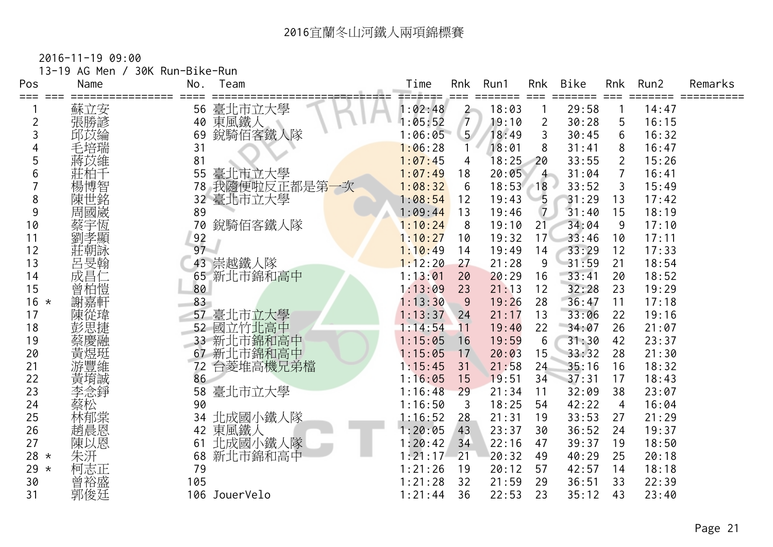| Pos<br>=== | 13-19 AG Men /<br>Name | 30K Run-Bike-Run<br>No. | Team          | Time    | Rnk            | Run1  | Rnk             | Bike  | <b>Rnk</b>     | Run2  | Remarks |
|------------|------------------------|-------------------------|---------------|---------|----------------|-------|-----------------|-------|----------------|-------|---------|
|            | 蘇立安                    | 56                      | 臺北市立大學        | 1:02:48 | $\overline{c}$ | 18:03 |                 | 29:58 |                | 14:47 |         |
| 2          | 張勝諺                    | 40                      | 東風鐵人          | 1:05:52 | $\sqrt{7}$     | 19:10 | $\overline{2}$  | 30:28 | 5              | 16:15 |         |
| 3          | 邱苡綸                    | 69                      | 銳騎佰客鐵人隊       | 1:06:05 | 5 <sup>7</sup> | 18:49 | 3               | 30:45 | 6              | 16:32 |         |
|            | 毛培瑞                    | 31                      |               | 1:06:28 | 1              | 18:01 | 8               | 31:41 | 8              | 16:47 |         |
| 5          | 蔣苡維                    | 81                      |               | 1:07:45 | 4              | 18:25 | $-20$           | 33:55 | $\overline{2}$ | 15:26 |         |
| 6          | 莊柏十                    | 55                      | 臺北市立大學        | 1:07:49 | 18             | 20:05 | $4 -$           | 31:04 | $\overline{7}$ | 16:41 |         |
|            | 楊博智<br>陳世銘             | 78                      | 我隨便啦反正都是第一次   | 1:08:32 | 6              | 18:53 | $-18$           | 33:52 | 3              | 15:49 |         |
| 8          |                        | 32 <sup>2</sup>         | 臺北市立大學        | 1:08:54 | 12             | 19:43 | $-5$            | 31:29 | 13             | 17:42 |         |
| 9          | 周國崴                    | 89                      |               | 1:09:44 | 13             | 19:46 | $\overline{7}$  | 31:40 | 15             | 18:19 |         |
| 10         | 蔡宇恆                    | 70                      | 銳騎佰客鐵人隊       | 1:10:24 | 8              | 19:10 | 21              | 34:04 | 9              | 17:10 |         |
| 11         | 劉孝顯                    | 92                      |               | 1:10:27 | 10             | 19:32 | 17 <sup>2</sup> | 33:46 | 10             | 17:11 |         |
| 12         | 莊朝詠                    | 97                      |               | 1:10:49 | 14             | 19:49 | 14              | 33:29 | 12             | 17:33 |         |
| 13         | 呂旻翰                    | 43                      | 崇越鐵人隊         | 1:12:20 | 27             | 21:28 | 9               | 31:59 | 21             | 18:54 |         |
| 14         | 成昌仁                    | 65                      | 新北市錦和高中       | 1:13:01 | 20             | 20:29 | 16              | 33:41 | 20             | 18:52 |         |
| 15         | 曾柏愷                    | 80                      |               | 1:13:09 | 23             | 21:13 | 12              | 32:28 | 23             | 19:29 |         |
| $16 *$     | 謝嘉軒                    | 83                      |               | 1:13:30 | 9              | 19:26 | 28              | 36:47 | 11             | 17:18 |         |
| 17         | 陳從瑋                    |                         | 57 臺北市立大學     | 1:13:37 | 24             | 21:17 | 13              | 33:06 | 22             | 19:16 |         |
| 18         | 彭思捷                    |                         | 52 國立竹北高中     | 1:14:54 | 11             | 19:40 | 22              | 34:07 | 26             | 21:07 |         |
| 19         | 蔡慶融                    | 33                      | 新北市錦和高中       | 1:15:05 | 16             | 19:59 | 6               | 31:30 | 42             | 23:37 |         |
| 20         | 黃煜珽                    | 67                      | 新北市錦和高中       | 1:15:05 | 17             | 20:03 | 15              | 33:32 | 28             | 21:30 |         |
| 21         | 游豐維                    | 72                      | 台菱堆高機兄弟檔      | 1:15:45 | 31             | 21:58 | 24              | 35:16 | 16             | 18:32 |         |
| 22         | 黃堉誠                    | 86                      |               | 1:16:05 | 15             | 19:51 | 34              | 37:31 | 17             | 18:43 |         |
| 23         | 李念錚                    | 58                      | 臺北市立大學        | 1:16:48 | 29             | 21:34 | 11              | 32:09 | 38             | 23:07 |         |
| 24         | 蔡松                     | 90                      |               | 1:16:50 | $\mathfrak{Z}$ | 18:25 | 54              | 42:22 | $\overline{4}$ | 16:04 |         |
| 25         | 林郁棠                    | 34                      | 北成國小鐵人隊       | 1:16:52 | 28             | 21:31 | 19              | 33:53 | 27             | 21:29 |         |
| 26         | 趙晨恩                    | 42                      | 東風鐵人          | 1:20:05 | 43             | 23:37 | 30              | 36:52 | 24             | 19:37 |         |
| 27         | 陳以恩                    | 61                      | 北成國小鐵人隊       | 1:20:42 | 34             | 22:16 | 47              | 39:37 | 19             | 18:50 |         |
| $28 *$     | 朱汧                     | 68                      | 新北市錦和高中       | 1:21:17 | 21             | 20:32 | 49              | 40:29 | 25             | 20:18 |         |
| 29 $*$     | 柯志正                    | 79                      |               | 1:21:26 | 19             | 20:12 | 57              | 42:57 | 14             | 18:18 |         |
| 30         | 曾裕盛                    | 105                     |               | 1:21:28 | 32             | 21:59 | 29              | 36:51 | 33             | 22:39 |         |
| 31         | 郭俊廷                    |                         | 106 JouerVelo | 1:21:44 | 36             | 22:53 | 23              | 35:12 | 43             | 23:40 |         |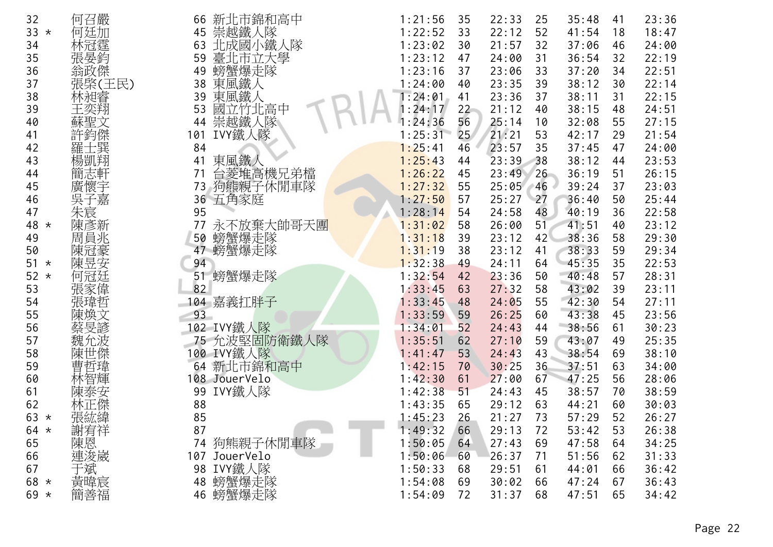| 32            | 何召嚴     | 新北市錦和高中<br>66   | 1:21:56 | 35 | 22:33 | 25 | 35:48 | 41 | 23:36 |
|---------------|---------|-----------------|---------|----|-------|----|-------|----|-------|
| 33<br>$\star$ | 何廷加     | 崇越鐵人隊<br>45     | 1:22:52 | 33 | 22:12 | 52 | 41:54 | 18 | 18:47 |
| 34            | 林冠霆     | 北成國小鐵人隊<br>63   | 1:23:02 | 30 | 21:57 | 32 | 37:06 | 46 | 24:00 |
| 35            | 張晏鈞     | 臺北市立大學<br>59    | 1:23:12 | 47 | 24:00 | 31 | 36:54 | 32 | 22:19 |
| 36            | 翁政傑     | 螃蟹爆走隊<br>49     | 1:23:16 | 37 | 23:06 | 33 | 37:20 | 34 | 22:51 |
| 37            | 張棨(王民)  | 東風鐵人<br>38      | 1:24:00 | 40 | 23:35 | 39 | 38:12 | 30 | 22:14 |
| 38            | 林昶睿     | 東風鐵人<br>39      | 1:24:01 | 41 | 23:36 | 37 | 38:11 | 31 | 22:15 |
| 39            | 王奕翔     | 國立竹北高中<br>53    | : 24:17 | 22 | 21:12 | 40 | 38:15 | 48 | 24:51 |
| 40            | 蘇聖文     | 崇越鐵人隊<br>44     | : 24:36 | 56 | 25:14 | 10 | 32:08 | 55 | 27:15 |
| 41            | 許鈞傑     | IVY鐵人隊<br>101   | 1:25:31 | 25 | 21:21 | 53 | 42:17 | 29 | 21:54 |
| 42            | 上巽<br>羅 | 84              | 1:25:41 | 46 | 23:57 | 35 | 37:45 | 47 | 24:00 |
| 43            | 楊凱翔     | 東風鐵人<br>41      | 1:25:43 | 44 | 23:39 | 38 | 38:12 | 44 | 23:53 |
| 44            | 簡志軒     | 台菱堆高機兄弟檔<br>71  | 1:26:22 | 45 | 23:49 | 26 | 36:19 | 51 | 26:15 |
| 45            | 廣懷宇     | 狗熊親子休閒車隊<br>73  | 1:27:32 | 55 | 25:05 | 46 | 39:24 | 37 | 23:03 |
| 46            | 吳子嘉     | 五角家庭<br>36      | 1:27:50 | 57 | 25:27 | 27 | 36:40 | 50 | 25:44 |
| 47            | 朱宸      | 95              | 1:28:14 | 54 | 24:58 | 48 | 40:19 | 36 | 22:58 |
| 48<br>$\star$ | 陳彥新     | 77<br>永不放棄大帥哥天團 | 1:31:02 | 58 | 26:00 | 51 | 41:51 | 40 | 23:12 |
| 49            | 周員兆     | 螃蟹爆走隊<br>50     | 1:31:18 | 39 | 23:12 | 42 | 38:36 | 58 | 29:30 |
| 50            | 陳冠豪     | 47 螃蟹爆走隊        | 1:31:19 | 38 | 23:12 | 41 | 38:33 | 59 | 29:34 |
| 51<br>$\star$ | 陳昱安     | 94              | 1:32:38 | 49 | 24:11 | 64 | 45:35 | 35 | 22:53 |
| 52<br>$\star$ | 何冠廷     | 螃蟹爆走隊<br>51     | 1:32:54 | 42 | 23:36 | 50 | 40:48 | 57 | 28:31 |
| 53            | 張家偉     | 82              | 1:33:45 | 63 | 27:32 | 58 | 43:02 | 39 | 23:11 |
| 54            | 張瑋哲     | 104 嘉義扛胖子       | 1:33:45 | 48 | 24:05 | 55 | 42:30 | 54 | 27:11 |
| 55            | 陳煥文     | 93              | 1:33:59 | 59 | 26:25 | 60 | 43:38 | 45 | 23:56 |
| 56            | 蔡旻諺     | 102 IVY鐵人隊      | 1:34:01 | 52 | 24:43 | 44 | 38:56 | 61 | 30:23 |
| 57            | 魏允波     | 75 允波堅固防衛鐵人隊    | 1:35:51 | 62 | 27:10 | 59 | 43:07 | 49 | 25:35 |
| 58            | 陳世傑     | 100 IVY鐵人隊      | 1:41:47 | 53 | 24:43 | 43 | 38:54 | 69 | 38:10 |
| 59            | 曹哲瑋     | 新北市錦和高中<br>64   | 1:42:15 | 70 | 30:25 | 36 | 37:51 | 63 | 34:00 |
| 60            | 林智輝     | 108 JouerVelo   | 1:42:30 | 61 | 27:00 | 67 | 47:25 | 56 | 28:06 |
| 61            | 陳泰安     | IVY鐵人隊<br>99    | 1:42:38 | 51 | 24:43 | 45 | 38:57 | 70 | 38:59 |
| 62            | 林正傑     | 88              | 1:43:35 | 65 | 29:12 | 63 | 44:21 | 60 | 30:03 |
| 63<br>$\star$ | 張紘緯     | 85              | 1:45:23 | 26 | 21:27 | 73 | 57:29 | 52 | 26:27 |
| 64 $*$        | 謝宥祥     | 87              | 1:49:32 | 66 | 29:13 | 72 | 53:42 | 53 | 26:38 |
| 65            | 陳恩      | 74 狗熊親子休閒車隊     | 1:50:05 | 64 | 27:43 | 69 | 47:58 | 64 | 34:25 |
| 66            | 連浚崴     | 107 JouerVelo   | 1:50:06 | 60 | 26:37 | 71 | 51:56 | 62 | 31:33 |
| 67            | 于斌      | IVY鐵人隊<br>98    | 1:50:33 | 68 | 29:51 | 61 | 44:01 | 66 | 36:42 |
| 68<br>$\star$ | 黃暐宸     | 螃蟹爆走隊<br>48     | 1:54:08 | 69 | 30:02 | 66 | 47:24 | 67 | 36:43 |
| $69 *$        | 簡善福     | 46 螃蟹爆走隊        | 1:54:09 | 72 | 31:37 | 68 | 47:51 | 65 | 34:42 |